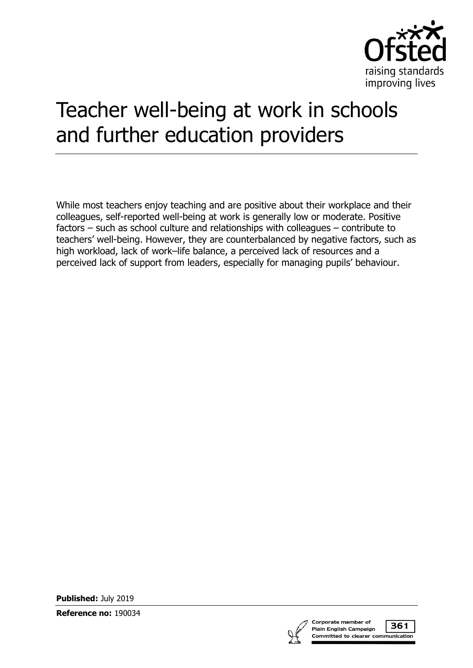

# Teacher well-being at work in schools and further education providers

While most teachers enjoy teaching and are positive about their workplace and their colleagues, self-reported well-being at work is generally low or moderate. Positive factors – such as school culture and relationships with colleagues – contribute to teachers' well-being. However, they are counterbalanced by negative factors, such as high workload, lack of work–life balance, a perceived lack of resources and a perceived lack of support from leaders, especially for managing pupils' behaviour.

**Published:** July 2019

**Reference no:** 190034

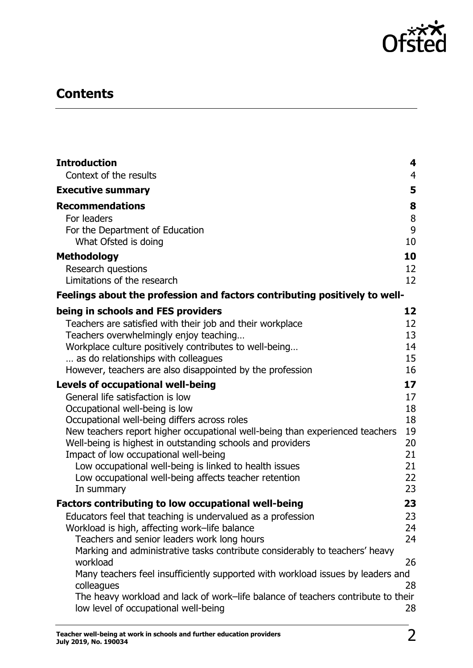

## **Contents**

| <b>Introduction</b>                                                                                                      | 4              |
|--------------------------------------------------------------------------------------------------------------------------|----------------|
| Context of the results                                                                                                   | $\overline{4}$ |
| <b>Executive summary</b>                                                                                                 | 5              |
| <b>Recommendations</b>                                                                                                   | 8              |
| For leaders                                                                                                              | 8              |
| For the Department of Education<br>What Ofsted is doing                                                                  | 9<br>10        |
| <b>Methodology</b>                                                                                                       | 10             |
| Research questions                                                                                                       | 12             |
| Limitations of the research                                                                                              | 12             |
| Feelings about the profession and factors contributing positively to well-                                               |                |
| being in schools and FES providers                                                                                       | 12             |
| Teachers are satisfied with their job and their workplace                                                                | 12             |
| Teachers overwhelmingly enjoy teaching                                                                                   | 13             |
| Workplace culture positively contributes to well-being                                                                   | 14             |
| as do relationships with colleagues<br>However, teachers are also disappointed by the profession                         | 15<br>16       |
|                                                                                                                          | 17             |
| <b>Levels of occupational well-being</b><br>General life satisfaction is low                                             | 17             |
| Occupational well-being is low                                                                                           | 18             |
| Occupational well-being differs across roles                                                                             | 18             |
| New teachers report higher occupational well-being than experienced teachers                                             | 19             |
| Well-being is highest in outstanding schools and providers                                                               | 20             |
| Impact of low occupational well-being                                                                                    | 21             |
| Low occupational well-being is linked to health issues                                                                   | 21<br>22       |
| Low occupational well-being affects teacher retention<br>In summary                                                      | 23             |
| <b>Factors contributing to low occupational well-being</b>                                                               | 23             |
| Educators feel that teaching is undervalued as a profession                                                              | 23             |
| Workload is high, affecting work-life balance                                                                            | 24             |
| Teachers and senior leaders work long hours                                                                              | 24             |
| Marking and administrative tasks contribute considerably to teachers' heavy<br>workload                                  | 26             |
| Many teachers feel insufficiently supported with workload issues by leaders and<br>colleagues                            | 28             |
| The heavy workload and lack of work-life balance of teachers contribute to their<br>low level of occupational well-being | 28             |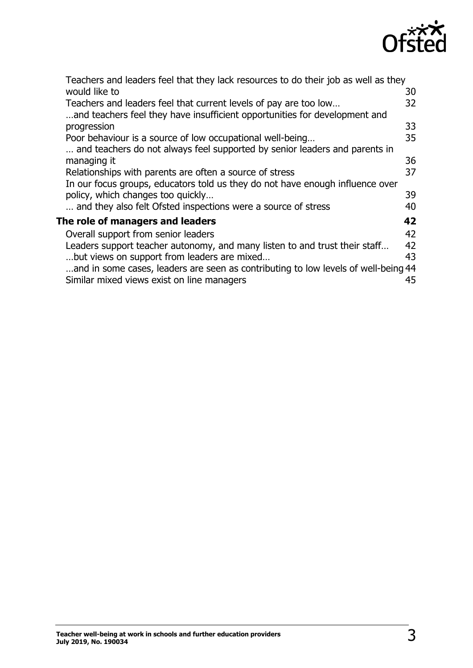

| Teachers and leaders feel that they lack resources to do their job as well as they |    |
|------------------------------------------------------------------------------------|----|
| would like to                                                                      | 30 |
| Teachers and leaders feel that current levels of pay are too low                   | 32 |
| and teachers feel they have insufficient opportunities for development and         |    |
| progression                                                                        | 33 |
| Poor behaviour is a source of low occupational well-being                          | 35 |
| and teachers do not always feel supported by senior leaders and parents in         |    |
| managing it                                                                        | 36 |
| Relationships with parents are often a source of stress                            | 37 |
| In our focus groups, educators told us they do not have enough influence over      |    |
| policy, which changes too quickly                                                  | 39 |
| and they also felt Ofsted inspections were a source of stress                      | 40 |
| The role of managers and leaders                                                   | 42 |
| Overall support from senior leaders                                                | 42 |
| Leaders support teacher autonomy, and many listen to and trust their staff         | 42 |
| but views on support from leaders are mixed                                        | 43 |
| and in some cases, leaders are seen as contributing to low levels of well-being 44 |    |
| Similar mixed views exist on line managers                                         | 45 |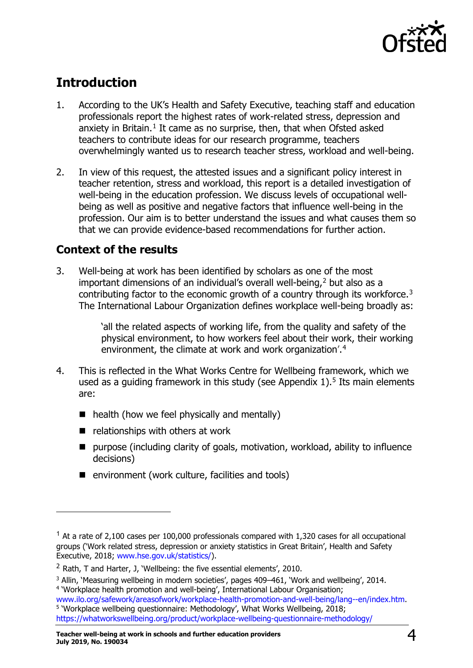

## <span id="page-3-0"></span>**Introduction**

- 1. According to the UK's Health and Safety Executive, teaching staff and education professionals report the highest rates of work-related stress, depression and anxiety in Britain. $1$  It came as no surprise, then, that when Ofsted asked teachers to contribute ideas for our research programme, teachers overwhelmingly wanted us to research teacher stress, workload and well-being.
- 2. In view of this request, the attested issues and a significant policy interest in teacher retention, stress and workload, this report is a detailed investigation of well-being in the education profession. We discuss levels of occupational wellbeing as well as positive and negative factors that influence well-being in the profession. Our aim is to better understand the issues and what causes them so that we can provide evidence-based recommendations for further action.

### <span id="page-3-1"></span>**Context of the results**

ł

3. Well-being at work has been identified by scholars as one of the most important dimensions of an individual's overall well-being.<sup>[2](#page-3-3)</sup> but also as a contributing factor to the economic growth of a country through its workforce.<sup>[3](#page-3-4)</sup> The International Labour Organization defines workplace well-being broadly as:

> 'all the related aspects of working life, from the quality and safety of the physical environment, to how workers feel about their work, their working environment, the climate at work and work organization'.[4](#page-3-5)

- 4. This is reflected in the What Works Centre for Wellbeing framework, which we used as a quiding framework in this study (see Appendix  $1$ ).<sup>[5](#page-3-6)</sup> Its main elements are:
	- $\blacksquare$  health (how we feel physically and mentally)
	- $\blacksquare$  relationships with others at work
	- purpose (including clarity of goals, motivation, workload, ability to influence decisions)
	- $\blacksquare$  environment (work culture, facilities and tools)

<span id="page-3-2"></span> $1$  At a rate of 2,100 cases per 100,000 professionals compared with 1,320 cases for all occupational groups ('Work related stress, depression or anxiety statistics in Great Britain', Health and Safety Executive, 2018; [www.hse.gov.uk/statistics/\)](http://www.hse.gov.uk/statistics/).

<span id="page-3-3"></span> $2$  Rath, T and Harter, J, 'Wellbeing: the five essential elements', 2010.

<span id="page-3-4"></span><sup>&</sup>lt;sup>3</sup> Allin, 'Measuring wellbeing in modern societies', pages 409–461, 'Work and wellbeing', 2014. <sup>4</sup> 'Workplace health promotion and well-being', International Labour Organisation;<br>www.ilo.org/safework/areasofwork/workplace-health-promotion-and-well-being/lang--en/index.htm.

<span id="page-3-6"></span><span id="page-3-5"></span><sup>&</sup>lt;sup>5</sup> 'Workplace wellbeing questionnaire: Methodology', What Works Wellbeing, 2018; <https://whatworkswellbeing.org/product/workplace-wellbeing-questionnaire-methodology/>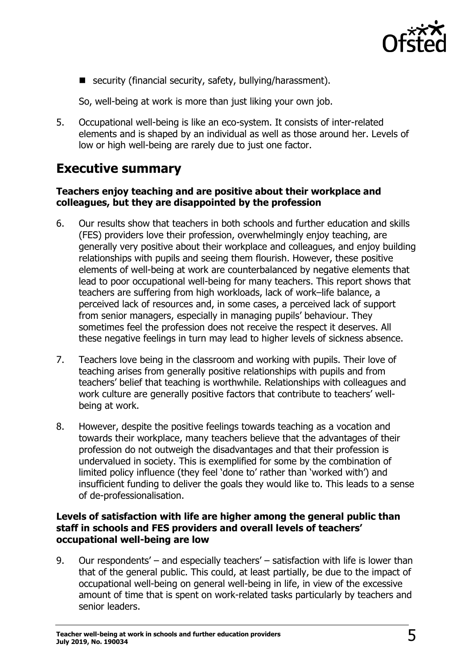

■ security (financial security, safety, bullying/harassment).

So, well-being at work is more than just liking your own job.

5. Occupational well-being is like an eco-system. It consists of inter-related elements and is shaped by an individual as well as those around her. Levels of low or high well-being are rarely due to just one factor.

### <span id="page-4-0"></span>**Executive summary**

#### **Teachers enjoy teaching and are positive about their workplace and colleagues, but they are disappointed by the profession**

- 6. Our results show that teachers in both schools and further education and skills (FES) providers love their profession, overwhelmingly enjoy teaching, are generally very positive about their workplace and colleagues, and enjoy building relationships with pupils and seeing them flourish. However, these positive elements of well-being at work are counterbalanced by negative elements that lead to poor occupational well-being for many teachers. This report shows that teachers are suffering from high workloads, lack of work–life balance, a perceived lack of resources and, in some cases, a perceived lack of support from senior managers, especially in managing pupils' behaviour. They sometimes feel the profession does not receive the respect it deserves. All these negative feelings in turn may lead to higher levels of sickness absence.
- 7. Teachers love being in the classroom and working with pupils. Their love of teaching arises from generally positive relationships with pupils and from teachers' belief that teaching is worthwhile. Relationships with colleagues and work culture are generally positive factors that contribute to teachers' wellbeing at work.
- 8. However, despite the positive feelings towards teaching as a vocation and towards their workplace, many teachers believe that the advantages of their profession do not outweigh the disadvantages and that their profession is undervalued in society. This is exemplified for some by the combination of limited policy influence (they feel 'done to' rather than 'worked with') and insufficient funding to deliver the goals they would like to. This leads to a sense of de-professionalisation.

#### **Levels of satisfaction with life are higher among the general public than staff in schools and FES providers and overall levels of teachers' occupational well-being are low**

9. Our respondents' – and especially teachers' – satisfaction with life is lower than that of the general public. This could, at least partially, be due to the impact of occupational well-being on general well-being in life, in view of the excessive amount of time that is spent on work-related tasks particularly by teachers and senior leaders.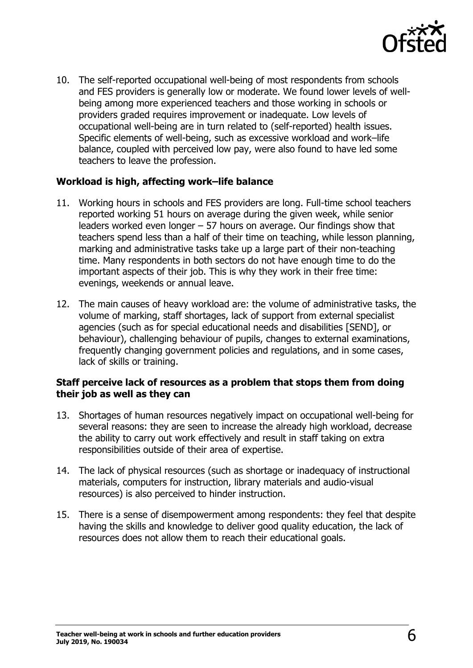

10. The self-reported occupational well-being of most respondents from schools and FES providers is generally low or moderate. We found lower levels of wellbeing among more experienced teachers and those working in schools or providers graded requires improvement or inadequate. Low levels of occupational well-being are in turn related to (self-reported) health issues. Specific elements of well-being, such as excessive workload and work–life balance, coupled with perceived low pay, were also found to have led some teachers to leave the profession.

### **Workload is high, affecting work–life balance**

- 11. Working hours in schools and FES providers are long. Full-time school teachers reported working 51 hours on average during the given week, while senior leaders worked even longer – 57 hours on average. Our findings show that teachers spend less than a half of their time on teaching, while lesson planning, marking and administrative tasks take up a large part of their non-teaching time. Many respondents in both sectors do not have enough time to do the important aspects of their job. This is why they work in their free time: evenings, weekends or annual leave.
- 12. The main causes of heavy workload are: the volume of administrative tasks, the volume of marking, staff shortages, lack of support from external specialist agencies (such as for special educational needs and disabilities [SEND], or behaviour), challenging behaviour of pupils, changes to external examinations, frequently changing government policies and regulations, and in some cases, lack of skills or training.

#### **Staff perceive lack of resources as a problem that stops them from doing their job as well as they can**

- 13. Shortages of human resources negatively impact on occupational well-being for several reasons: they are seen to increase the already high workload, decrease the ability to carry out work effectively and result in staff taking on extra responsibilities outside of their area of expertise.
- 14. The lack of physical resources (such as shortage or inadequacy of instructional materials, computers for instruction, library materials and audio-visual resources) is also perceived to hinder instruction.
- 15. There is a sense of disempowerment among respondents: they feel that despite having the skills and knowledge to deliver good quality education, the lack of resources does not allow them to reach their educational goals.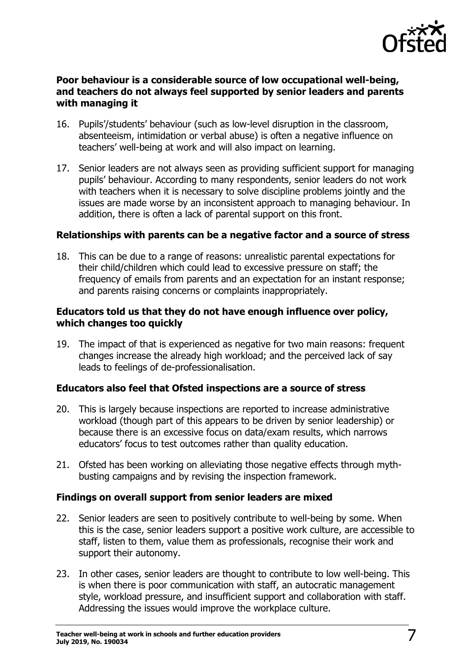

#### **Poor behaviour is a considerable source of low occupational well-being, and teachers do not always feel supported by senior leaders and parents with managing it**

- 16. Pupils'/students' behaviour (such as low-level disruption in the classroom, absenteeism, intimidation or verbal abuse) is often a negative influence on teachers' well-being at work and will also impact on learning.
- 17. Senior leaders are not always seen as providing sufficient support for managing pupils' behaviour. According to many respondents, senior leaders do not work with teachers when it is necessary to solve discipline problems jointly and the issues are made worse by an inconsistent approach to managing behaviour. In addition, there is often a lack of parental support on this front.

#### **Relationships with parents can be a negative factor and a source of stress**

18. This can be due to a range of reasons: unrealistic parental expectations for their child/children which could lead to excessive pressure on staff; the frequency of emails from parents and an expectation for an instant response; and parents raising concerns or complaints inappropriately.

#### **Educators told us that they do not have enough influence over policy, which changes too quickly**

19. The impact of that is experienced as negative for two main reasons: frequent changes increase the already high workload; and the perceived lack of say leads to feelings of de-professionalisation.

#### **Educators also feel that Ofsted inspections are a source of stress**

- 20. This is largely because inspections are reported to increase administrative workload (though part of this appears to be driven by senior leadership) or because there is an excessive focus on data/exam results, which narrows educators' focus to test outcomes rather than quality education.
- 21. Ofsted has been working on alleviating those negative effects through mythbusting campaigns and by revising the inspection framework.

#### **Findings on overall support from senior leaders are mixed**

- 22. Senior leaders are seen to positively contribute to well-being by some. When this is the case, senior leaders support a positive work culture, are accessible to staff, listen to them, value them as professionals, recognise their work and support their autonomy.
- 23. In other cases, senior leaders are thought to contribute to low well-being. This is when there is poor communication with staff, an autocratic management style, workload pressure, and insufficient support and collaboration with staff. Addressing the issues would improve the workplace culture.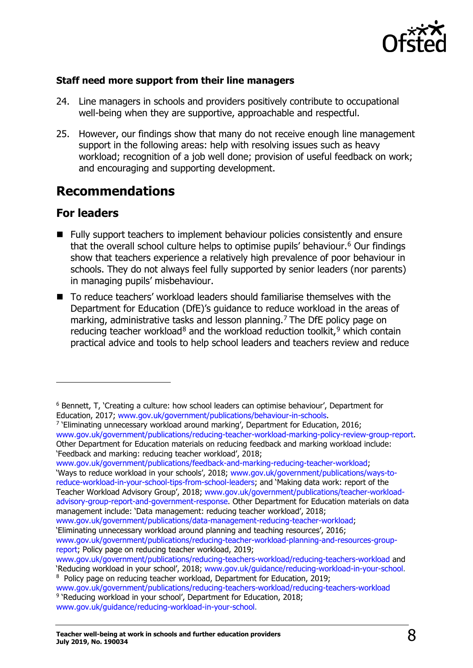

### **Staff need more support from their line managers**

- 24. Line managers in schools and providers positively contribute to occupational well-being when they are supportive, approachable and respectful.
- 25. However, our findings show that many do not receive enough line management support in the following areas: help with resolving issues such as heavy workload; recognition of a job well done; provision of useful feedback on work; and encouraging and supporting development.

### <span id="page-7-0"></span>**Recommendations**

### <span id="page-7-1"></span>**For leaders**

ł

- Fully support teachers to implement behaviour policies consistently and ensure that the overall school culture helps to optimise pupils' behaviour.<sup>[6](#page-7-2)</sup> Our findings show that teachers experience a relatively high prevalence of poor behaviour in schools. They do not always feel fully supported by senior leaders (nor parents) in managing pupils' misbehaviour.
- To reduce teachers' workload leaders should familiarise themselves with the Department for Education (DfE)'s guidance to reduce workload in the areas of marking, administrative tasks and lesson planning.<sup>[7](#page-7-3)</sup> The DfE policy page on reducing teacher workload<sup>[8](#page-7-4)</sup> and the workload reduction toolkit,  $9$  which contain practical advice and tools to help school leaders and teachers review and reduce

[www.gov.uk/government/publications/feedback-and-marking-reducing-teacher-workload;](https://www.gov.uk/government/publications/feedback-and-marking-reducing-teacher-workload) 'Ways to reduce workload in your schools', 2018; [www.gov.uk/government/publications/ways-to](https://www.gov.uk/government/publications/ways-to-reduce-workload-in-your-school-tips-from-school-leaders)[reduce-workload-in-your-school-tips-from-school-leaders;](https://www.gov.uk/government/publications/ways-to-reduce-workload-in-your-school-tips-from-school-leaders) and 'Making data work: report of the Teacher Workload Advisory Group', 2018; [www.gov.uk/government/publications/teacher-workload](https://www.gov.uk/government/publications/teacher-workload-advisory-group-report-and-government-response)[advisory-group-report-and-government-response.](https://www.gov.uk/government/publications/teacher-workload-advisory-group-report-and-government-response) Other Department for Education materials on data management include: 'Data management: reducing teacher workload', 2018;

[www.gov.uk/government/publications/data-management-reducing-teacher-workload;](http://www.gov.uk/government/publications/data-management-reducing-teacher-workload) 'Eliminating unnecessary workload around planning and teaching resources', 2016; [www.gov.uk/government/publications/reducing-teacher-workload-planning-and-resources-group](https://www.gov.uk/government/publications/reducing-teacher-workload-planning-and-resources-group-report)[report;](https://www.gov.uk/government/publications/reducing-teacher-workload-planning-and-resources-group-report) Policy page on reducing teacher workload, 2019;

<span id="page-7-4"></span><sup>8</sup> Policy page on reducing teacher workload, Department for Education, 2019;

<span id="page-7-2"></span><sup>&</sup>lt;sup>6</sup> Bennett, T, 'Creating a culture: how school leaders can optimise behaviour', Department for Education, 2017; www.gov.uk/government/publications/behaviour-in-schools.

<span id="page-7-3"></span><sup>&</sup>lt;sup>7</sup> 'Eliminating unnecessary workload around marking', Department for Education, 2016; [www.gov.uk/government/publications/reducing-teacher-workload-marking-policy-review-group-report.](https://www.gov.uk/government/publications/reducing-teacher-workload-marking-policy-review-group-report) Other Department for Education materials on reducing feedback and marking workload include: 'Feedback and marking: reducing teacher workload', 2018;

[www.gov.uk/government/publications/reducing-teachers-workload/reducing-teachers-workload](https://www.gov.uk/government/publications/reducing-teachers-workload/reducing-teachers-workload) and<br>'Reducing workload in your school', 2018; www.gov.uk/guidance/reducing-workload-in-your-school.

<span id="page-7-5"></span>[www.gov.uk/government/publications/reducing-teachers-workload/reducing-teachers-workload](https://www.gov.uk/government/publications/reducing-teachers-workload/reducing-teachers-workload) <sup>9</sup> 'Reducing workload in your school', Department for Education, 2018; [www.gov.uk/guidance/reducing-workload-in-your-school.](http://www.gov.uk/guidance/reducing-workload-in-your-school)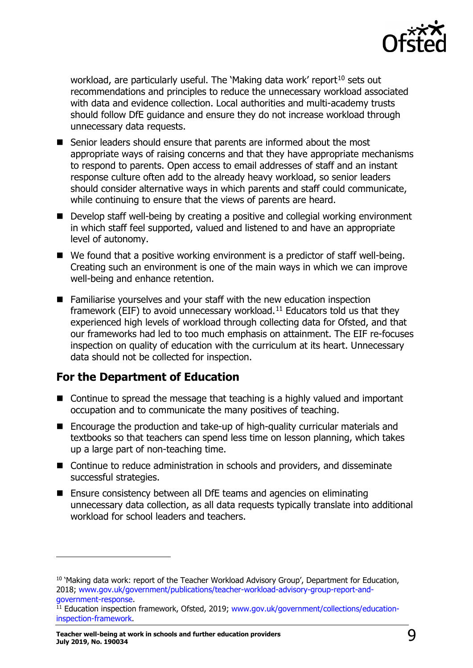

workload, are particularly useful. The 'Making data work' report<sup>[10](#page-8-1)</sup> sets out recommendations and principles to reduce the unnecessary workload associated with data and evidence collection. Local authorities and multi-academy trusts should follow DfE guidance and ensure they do not increase workload through unnecessary data requests.

- Senior leaders should ensure that parents are informed about the most appropriate ways of raising concerns and that they have appropriate mechanisms to respond to parents. Open access to email addresses of staff and an instant response culture often add to the already heavy workload, so senior leaders should consider alternative ways in which parents and staff could communicate, while continuing to ensure that the views of parents are heard.
- Develop staff well-being by creating a positive and collegial working environment in which staff feel supported, valued and listened to and have an appropriate level of autonomy.
- We found that a positive working environment is a predictor of staff well-being. Creating such an environment is one of the main ways in which we can improve well-being and enhance retention.
- Familiarise yourselves and your staff with the new education inspection framework (EIF) to avoid unnecessary workload.<sup>[11](#page-8-2)</sup> Educators told us that they experienced high levels of workload through collecting data for Ofsted, and that our frameworks had led to too much emphasis on attainment. The EIF re-focuses inspection on quality of education with the curriculum at its heart. Unnecessary data should not be collected for inspection.

### <span id="page-8-0"></span>**For the Department of Education**

- Continue to spread the message that teaching is a highly valued and important occupation and to communicate the many positives of teaching.
- Encourage the production and take-up of high-quality curricular materials and textbooks so that teachers can spend less time on lesson planning, which takes up a large part of non-teaching time.
- Continue to reduce administration in schools and providers, and disseminate successful strategies.
- Ensure consistency between all DfE teams and agencies on eliminating unnecessary data collection, as all data requests typically translate into additional workload for school leaders and teachers.

<span id="page-8-1"></span><sup>&</sup>lt;sup>10</sup> 'Making data work: report of the Teacher Workload Advisory Group', Department for Education, 2018; [www.gov.uk/government/publications/teacher-workload-advisory-group-report-and](https://www.gov.uk/government/publications/teacher-workload-advisory-group-report-and-government-response)[government-response.](https://www.gov.uk/government/publications/teacher-workload-advisory-group-report-and-government-response)

<span id="page-8-2"></span><sup>&</sup>lt;sup>11</sup> Education inspection framework, Ofsted, 2019; [www.gov.uk/government/collections/education](https://www.gov.uk/government/collections/education-inspection-framework)[inspection-framework.](https://www.gov.uk/government/collections/education-inspection-framework)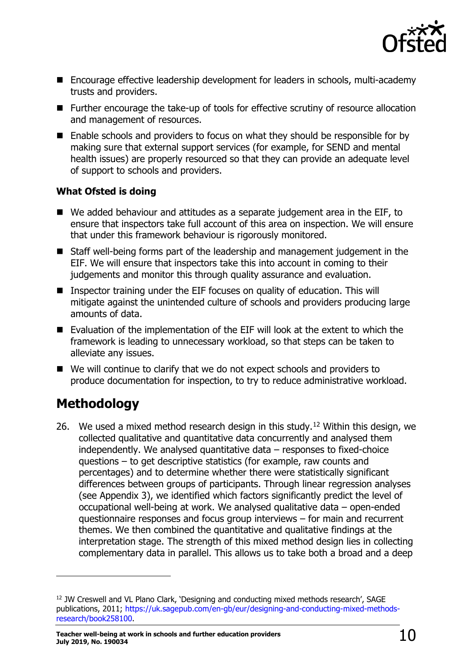

- Encourage effective leadership development for leaders in schools, multi-academy trusts and providers.
- Further encourage the take-up of tools for effective scrutiny of resource allocation and management of resources.
- $\blacksquare$  Enable schools and providers to focus on what they should be responsible for by making sure that external support services (for example, for SEND and mental health issues) are properly resourced so that they can provide an adequate level of support to schools and providers.

### <span id="page-9-0"></span>**What Ofsted is doing**

- We added behaviour and attitudes as a separate judgement area in the EIF, to ensure that inspectors take full account of this area on inspection. We will ensure that under this framework behaviour is rigorously monitored.
- Staff well-being forms part of the leadership and management judgement in the EIF. We will ensure that inspectors take this into account in coming to their judgements and monitor this through quality assurance and evaluation.
- Inspector training under the EIF focuses on quality of education. This will mitigate against the unintended culture of schools and providers producing large amounts of data.
- Evaluation of the implementation of the EIF will look at the extent to which the framework is leading to unnecessary workload, so that steps can be taken to alleviate any issues.
- We will continue to clarify that we do not expect schools and providers to produce documentation for inspection, to try to reduce administrative workload.

### <span id="page-9-1"></span>**Methodology**

ł

26. We used a mixed method research design in this study.<sup>[12](#page-9-2)</sup> Within this design, we collected qualitative and quantitative data concurrently and analysed them independently. We analysed quantitative data – responses to fixed-choice questions – to get descriptive statistics (for example, raw counts and percentages) and to determine whether there were statistically significant differences between groups of participants. Through linear regression analyses (see Appendix 3), we identified which factors significantly predict the level of occupational well-being at work. We analysed qualitative data – open-ended questionnaire responses and focus group interviews – for main and recurrent themes. We then combined the quantitative and qualitative findings at the interpretation stage. The strength of this mixed method design lies in collecting complementary data in parallel. This allows us to take both a broad and a deep

<span id="page-9-2"></span><sup>12</sup> JW Creswell and VL Plano Clark, 'Designing and conducting mixed methods research', SAGE publications, 2011; [https://uk.sagepub.com/en-gb/eur/designing-and-conducting-mixed-methods](https://uk.sagepub.com/en-gb/eur/designing-and-conducting-mixed-methods-research/book258100)[research/book258100.](https://uk.sagepub.com/en-gb/eur/designing-and-conducting-mixed-methods-research/book258100)

**Teacher well-being at work in schools and further education providers July 2019, No. 190034** 10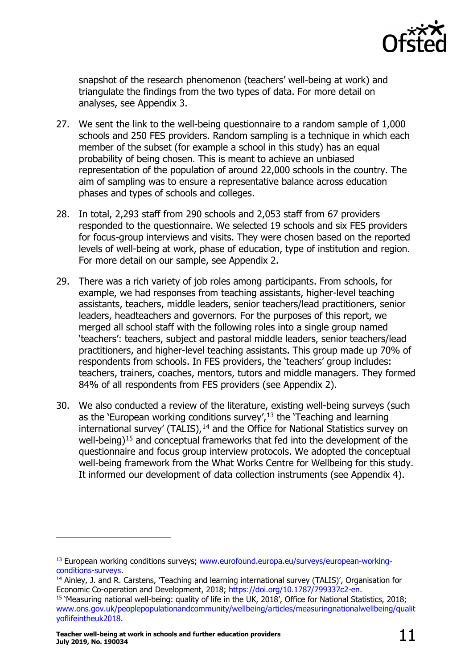

snapshot of the research phenomenon (teachers' well-being at work) and triangulate the findings from the two types of data. For more detail on analyses, see Appendix 3.

- 27. We sent the link to the well-being questionnaire to a random sample of 1,000 schools and 250 FES providers. Random sampling is a technique in which each member of the subset (for example a school in this study) has an equal probability of being chosen. This is meant to achieve an unbiased representation of the population of around 22,000 schools in the country. The aim of sampling was to ensure a representative balance across education phases and types of schools and colleges.
- 28. In total, 2,293 staff from 290 schools and 2,053 staff from 67 providers responded to the questionnaire. We selected 19 schools and six FES providers for focus-group interviews and visits. They were chosen based on the reported levels of well-being at work, phase of education, type of institution and region. For more detail on our sample, see Appendix 2.
- 29. There was a rich variety of job roles among participants. From schools, for example, we had responses from teaching assistants, higher-level teaching assistants, teachers, middle leaders, senior teachers/lead practitioners, senior leaders, headteachers and governors. For the purposes of this report, we merged all school staff with the following roles into a single group named 'teachers': teachers, subject and pastoral middle leaders, senior teachers/lead practitioners, and higher-level teaching assistants. This group made up 70% of respondents from schools. In FES providers, the 'teachers' group includes: teachers, trainers, coaches, mentors, tutors and middle managers. They formed 84% of all respondents from FES providers (see Appendix 2).
- 30. We also conducted a review of the literature, existing well-being surveys (such as the 'European working conditions survey',<sup>[13](#page-10-0)</sup> the 'Teaching and learning'  $intermational survey' (TALIS),<sup>14</sup>$  $intermational survey' (TALIS),<sup>14</sup>$  $intermational survey' (TALIS),<sup>14</sup>$  and the Office for National Statistics survey on well-being)[15](#page-10-2) and conceptual frameworks that fed into the development of the questionnaire and focus group interview protocols. We adopted the conceptual well-being framework from the What Works Centre for Wellbeing for this study. It informed our development of data collection instruments (see Appendix 4).

<span id="page-10-0"></span><sup>&</sup>lt;sup>13</sup> European working conditions surveys; www.eurofound.europa.eu/surveys/european-working-<br>conditions-surveys.

<span id="page-10-1"></span><sup>&</sup>lt;sup>14</sup> Ainley, J. and R. Carstens, 'Teaching and learning international survey (TALIS)', Organisation for Economic Co-operation and Development, 2018; [https://doi.org/10.1787/799337c2-en.](https://doi.org/10.1787/799337c2-en)

<span id="page-10-2"></span><sup>15</sup> 'Measuring national well-being: quality of life in the UK, 2018', Office for National Statistics, 2018; [www.ons.gov.uk/peoplepopulationandcommunity/wellbeing/articles/measuringnationalwellbeing/qualit](https://www.ons.gov.uk/peoplepopulationandcommunity/wellbeing/articles/measuringnationalwellbeing/qualityoflifeintheuk2018) [yoflifeintheuk2018.](https://www.ons.gov.uk/peoplepopulationandcommunity/wellbeing/articles/measuringnationalwellbeing/qualityoflifeintheuk2018)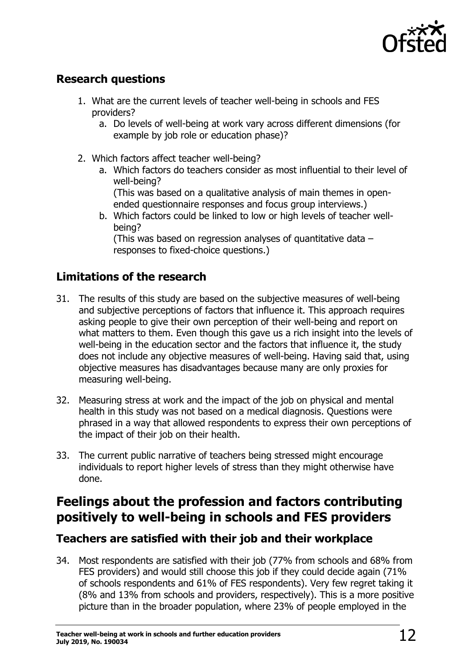

### <span id="page-11-0"></span>**Research questions**

- 1. What are the current levels of teacher well-being in schools and FES providers?
	- a. Do levels of well-being at work vary across different dimensions (for example by job role or education phase)?
- 2. Which factors affect teacher well-being?
	- a. Which factors do teachers consider as most influential to their level of well-being?

(This was based on a qualitative analysis of main themes in openended questionnaire responses and focus group interviews.)

b. Which factors could be linked to low or high levels of teacher wellbeing?

(This was based on regression analyses of quantitative data – responses to fixed-choice questions.)

### <span id="page-11-1"></span>**Limitations of the research**

- 31. The results of this study are based on the subjective measures of well-being and subjective perceptions of factors that influence it. This approach requires asking people to give their own perception of their well-being and report on what matters to them. Even though this gave us a rich insight into the levels of well-being in the education sector and the factors that influence it, the study does not include any objective measures of well-being. Having said that, using objective measures has disadvantages because many are only proxies for measuring well-being.
- 32. Measuring stress at work and the impact of the job on physical and mental health in this study was not based on a medical diagnosis. Questions were phrased in a way that allowed respondents to express their own perceptions of the impact of their job on their health.
- 33. The current public narrative of teachers being stressed might encourage individuals to report higher levels of stress than they might otherwise have done.

### <span id="page-11-2"></span>**Feelings about the profession and factors contributing positively to well-being in schools and FES providers**

### <span id="page-11-3"></span>**Teachers are satisfied with their job and their workplace**

34. Most respondents are satisfied with their job (77% from schools and 68% from FES providers) and would still choose this job if they could decide again (71% of schools respondents and 61% of FES respondents). Very few regret taking it (8% and 13% from schools and providers, respectively). This is a more positive picture than in the broader population, where 23% of people employed in the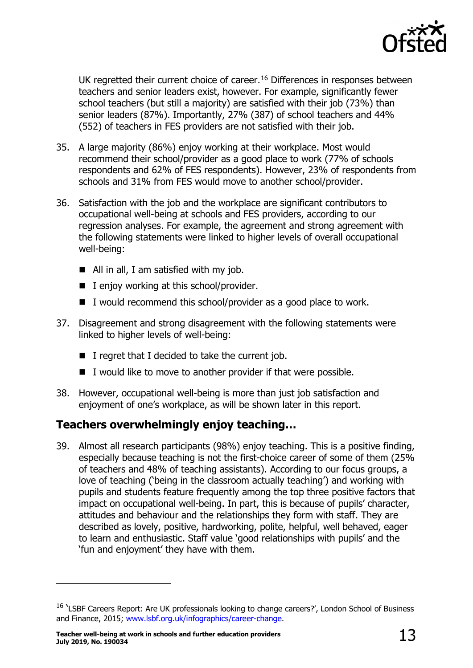

UK regretted their current choice of career.<sup>[16](#page-12-1)</sup> Differences in responses between teachers and senior leaders exist, however. For example, significantly fewer school teachers (but still a majority) are satisfied with their job (73%) than senior leaders (87%). Importantly, 27% (387) of school teachers and 44% (552) of teachers in FES providers are not satisfied with their job.

- 35. A large majority (86%) enjoy working at their workplace. Most would recommend their school/provider as a good place to work (77% of schools respondents and 62% of FES respondents). However, 23% of respondents from schools and 31% from FES would move to another school/provider.
- 36. Satisfaction with the job and the workplace are significant contributors to occupational well-being at schools and FES providers, according to our regression analyses. For example, the agreement and strong agreement with the following statements were linked to higher levels of overall occupational well-being:
	- All in all, I am satisfied with my job.
	- $\blacksquare$  I enjoy working at this school/provider.
	- $\blacksquare$  I would recommend this school/provider as a good place to work.
- 37. Disagreement and strong disagreement with the following statements were linked to higher levels of well-being:
	- $\blacksquare$  I regret that I decided to take the current job.
	- $\blacksquare$  I would like to move to another provider if that were possible.
- 38. However, occupational well-being is more than just job satisfaction and enjoyment of one's workplace, as will be shown later in this report.

### <span id="page-12-0"></span>**Teachers overwhelmingly enjoy teaching…**

39. Almost all research participants (98%) enjoy teaching. This is a positive finding, especially because teaching is not the first-choice career of some of them (25% of teachers and 48% of teaching assistants). According to our focus groups, a love of teaching ('being in the classroom actually teaching') and working with pupils and students feature frequently among the top three positive factors that impact on occupational well-being. In part, this is because of pupils' character, attitudes and behaviour and the relationships they form with staff. They are described as lovely, positive, hardworking, polite, helpful, well behaved, eager to learn and enthusiastic. Staff value 'good relationships with pupils' and the 'fun and enjoyment' they have with them.

<span id="page-12-1"></span><sup>&</sup>lt;sup>16</sup> 'LSBF Careers Report: Are UK professionals looking to change careers?', London School of Business and Finance, 2015; [www.lsbf.org.uk/infographics/career-change.](http://www.lsbf.org.uk/infographics/career-change)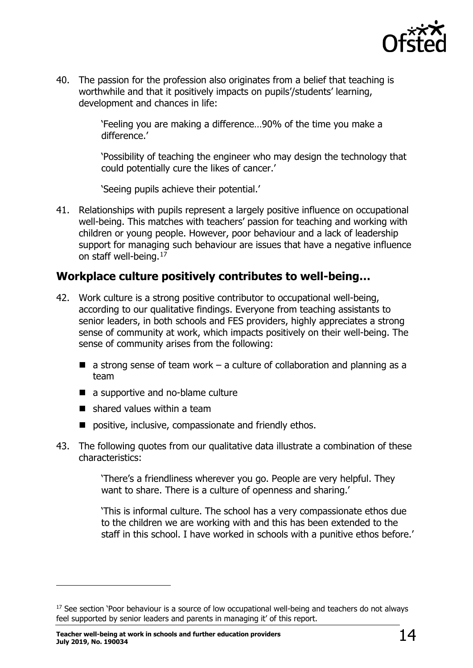

40. The passion for the profession also originates from a belief that teaching is worthwhile and that it positively impacts on pupils'/students' learning, development and chances in life:

> 'Feeling you are making a difference…90% of the time you make a difference.'

'Possibility of teaching the engineer who may design the technology that could potentially cure the likes of cancer.'

'Seeing pupils achieve their potential.'

41. Relationships with pupils represent a largely positive influence on occupational well-being. This matches with teachers' passion for teaching and working with children or young people. However, poor behaviour and a lack of leadership support for managing such behaviour are issues that have a negative influence on staff well-being.<sup>[17](#page-13-1)</sup>

### <span id="page-13-0"></span>**Workplace culture positively contributes to well-being…**

- 42. Work culture is a strong positive contributor to occupational well-being, according to our qualitative findings. Everyone from teaching assistants to senior leaders, in both schools and FES providers, highly appreciates a strong sense of community at work, which impacts positively on their well-being. The sense of community arises from the following:
	- $\blacksquare$  a strong sense of team work a culture of collaboration and planning as a team
	- a supportive and no-blame culture
	- $\blacksquare$  shared values within a team
	- **positive, inclusive, compassionate and friendly ethos.**
- 43. The following quotes from our qualitative data illustrate a combination of these characteristics:

'There's a friendliness wherever you go. People are very helpful. They want to share. There is a culture of openness and sharing.'

'This is informal culture. The school has a very compassionate ethos due to the children we are working with and this has been extended to the staff in this school. I have worked in schools with a punitive ethos before.'

<span id="page-13-1"></span><sup>&</sup>lt;sup>17</sup> See section 'Poor behaviour is a source of low occupational well-being and teachers do not always feel supported by senior leaders and parents in managing it' of this report.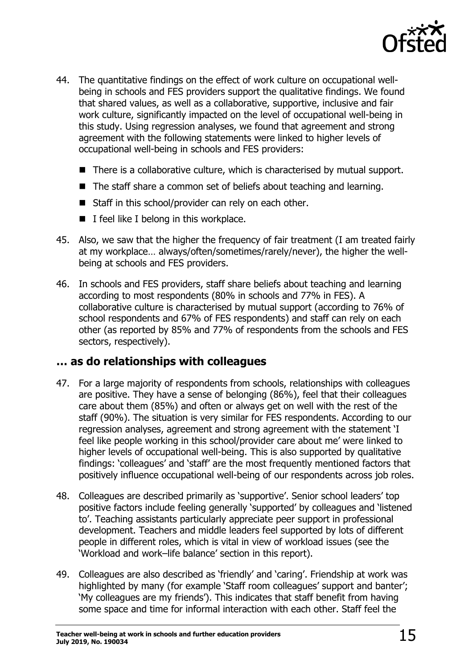

- 44. The quantitative findings on the effect of work culture on occupational wellbeing in schools and FES providers support the qualitative findings. We found that shared values, as well as a collaborative, supportive, inclusive and fair work culture, significantly impacted on the level of occupational well-being in this study. Using regression analyses, we found that agreement and strong agreement with the following statements were linked to higher levels of occupational well-being in schools and FES providers:
	- There is a collaborative culture, which is characterised by mutual support.
	- The staff share a common set of beliefs about teaching and learning.
	- $\blacksquare$  Staff in this school/provider can rely on each other.
	- $\blacksquare$  I feel like I belong in this workplace.
- 45. Also, we saw that the higher the frequency of fair treatment (I am treated fairly at my workplace… always/often/sometimes/rarely/never), the higher the wellbeing at schools and FES providers.
- 46. In schools and FES providers, staff share beliefs about teaching and learning according to most respondents (80% in schools and 77% in FES). A collaborative culture is characterised by mutual support (according to 76% of school respondents and 67% of FES respondents) and staff can rely on each other (as reported by 85% and 77% of respondents from the schools and FES sectors, respectively).

### <span id="page-14-0"></span>**… as do relationships with colleagues**

- 47. For a large majority of respondents from schools, relationships with colleagues are positive. They have a sense of belonging (86%), feel that their colleagues care about them (85%) and often or always get on well with the rest of the staff (90%). The situation is very similar for FES respondents. According to our regression analyses, agreement and strong agreement with the statement 'I feel like people working in this school/provider care about me' were linked to higher levels of occupational well-being. This is also supported by qualitative findings: 'colleagues' and 'staff' are the most frequently mentioned factors that positively influence occupational well-being of our respondents across job roles.
- 48. Colleagues are described primarily as 'supportive'. Senior school leaders' top positive factors include feeling generally 'supported' by colleagues and 'listened to'. Teaching assistants particularly appreciate peer support in professional development. Teachers and middle leaders feel supported by lots of different people in different roles, which is vital in view of workload issues (see the 'Workload and work–life balance' section in this report).
- 49. Colleagues are also described as 'friendly' and 'caring'. Friendship at work was highlighted by many (for example 'Staff room colleagues' support and banter'; 'My colleagues are my friends'). This indicates that staff benefit from having some space and time for informal interaction with each other. Staff feel the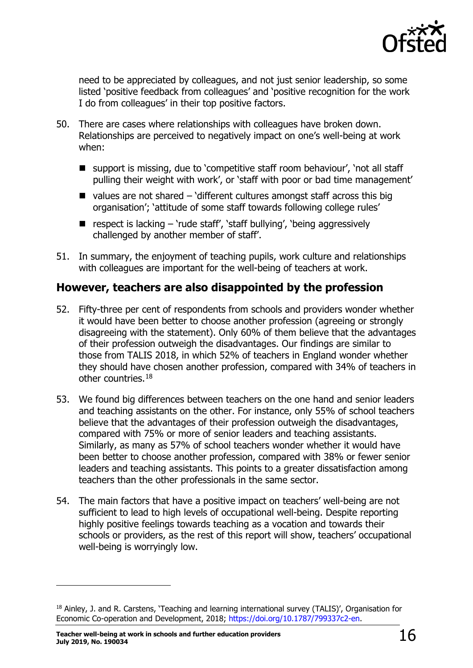

need to be appreciated by colleagues, and not just senior leadership, so some listed 'positive feedback from colleagues' and 'positive recognition for the work I do from colleagues' in their top positive factors.

- 50. There are cases where relationships with colleagues have broken down. Relationships are perceived to negatively impact on one's well-being at work when:
	- support is missing, due to 'competitive staff room behaviour', 'not all staff pulling their weight with work', or 'staff with poor or bad time management'
	- $\blacksquare$  values are not shared 'different cultures amongst staff across this big organisation'; 'attitude of some staff towards following college rules'
	- respect is lacking  $-$  'rude staff', 'staff bullying', 'being aggressively challenged by another member of staff'.
- 51. In summary, the enjoyment of teaching pupils, work culture and relationships with colleagues are important for the well-being of teachers at work.

### <span id="page-15-0"></span>**However, teachers are also disappointed by the profession**

- 52. Fifty-three per cent of respondents from schools and providers wonder whether it would have been better to choose another profession (agreeing or strongly disagreeing with the statement). Only 60% of them believe that the advantages of their profession outweigh the disadvantages. Our findings are similar to those from TALIS 2018, in which 52% of teachers in England wonder whether they should have chosen another profession, compared with 34% of teachers in other countries.[18](#page-15-1)
- 53. We found big differences between teachers on the one hand and senior leaders and teaching assistants on the other. For instance, only 55% of school teachers believe that the advantages of their profession outweigh the disadvantages, compared with 75% or more of senior leaders and teaching assistants. Similarly, as many as 57% of school teachers wonder whether it would have been better to choose another profession, compared with 38% or fewer senior leaders and teaching assistants. This points to a greater dissatisfaction among teachers than the other professionals in the same sector.
- 54. The main factors that have a positive impact on teachers' well-being are not sufficient to lead to high levels of occupational well-being. Despite reporting highly positive feelings towards teaching as a vocation and towards their schools or providers, as the rest of this report will show, teachers' occupational well-being is worryingly low.

<span id="page-15-1"></span><sup>18</sup> Ainley, J. and R. Carstens, 'Teaching and learning international survey (TALIS)', Organisation for Economic Co-operation and Development, 2018; [https://doi.org/10.1787/799337c2-en.](https://doi.org/10.1787/799337c2-en)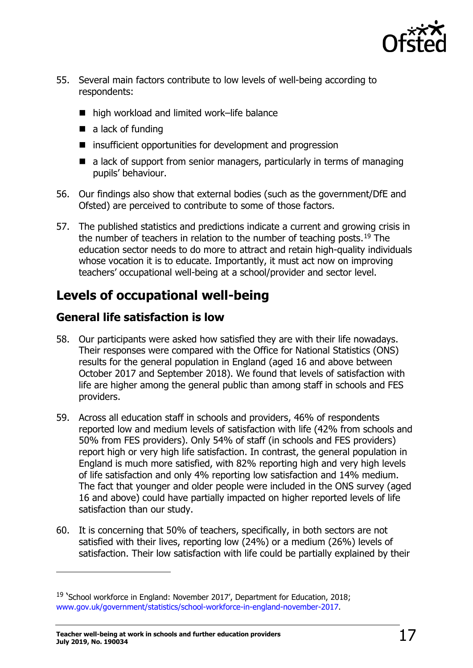

- 55. Several main factors contribute to low levels of well-being according to respondents:
	- high workload and limited work–life balance
	- $\blacksquare$  a lack of funding
	- insufficient opportunities for development and progression
	- a lack of support from senior managers, particularly in terms of managing pupils' behaviour.
- 56. Our findings also show that external bodies (such as the government/DfE and Ofsted) are perceived to contribute to some of those factors.
- 57. The published statistics and predictions indicate a current and growing crisis in the number of teachers in relation to the number of teaching posts.<sup>[19](#page-16-2)</sup> The education sector needs to do more to attract and retain high-quality individuals whose vocation it is to educate. Importantly, it must act now on improving teachers' occupational well-being at a school/provider and sector level.

### <span id="page-16-0"></span>**Levels of occupational well-being**

### <span id="page-16-1"></span>**General life satisfaction is low**

- 58. Our participants were asked how satisfied they are with their life nowadays. Their responses were compared with the Office for National Statistics (ONS) results for the general population in England (aged 16 and above between October 2017 and September 2018). We found that levels of satisfaction with life are higher among the general public than among staff in schools and FES providers.
- 59. Across all education staff in schools and providers, 46% of respondents reported low and medium levels of satisfaction with life (42% from schools and 50% from FES providers). Only 54% of staff (in schools and FES providers) report high or very high life satisfaction. In contrast, the general population in England is much more satisfied, with 82% reporting high and very high levels of life satisfaction and only 4% reporting low satisfaction and 14% medium. The fact that younger and older people were included in the ONS survey (aged 16 and above) could have partially impacted on higher reported levels of life satisfaction than our study.
- 60. It is concerning that 50% of teachers, specifically, in both sectors are not satisfied with their lives, reporting low (24%) or a medium (26%) levels of satisfaction. Their low satisfaction with life could be partially explained by their

<span id="page-16-2"></span><sup>&</sup>lt;sup>19</sup> 'School workforce in England: November 2017', Department for Education, 2018; [www.gov.uk/government/statistics/school-workforce-in-england-november-2017.](https://www.gov.uk/government/statistics/school-workforce-in-england-november-2017)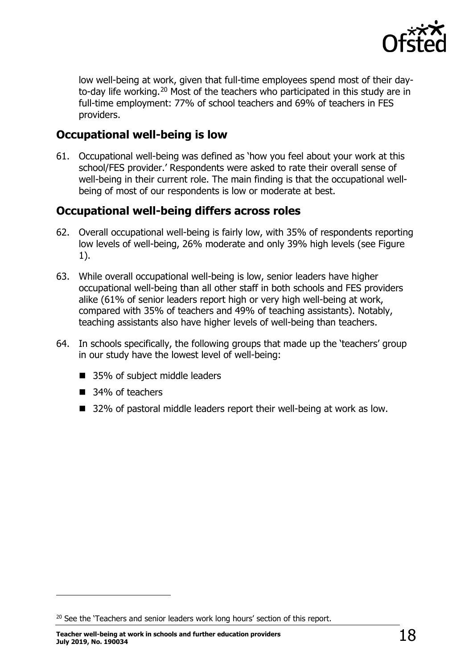

low well-being at work, given that full-time employees spend most of their day-to-day life working.<sup>[20](#page-17-2)</sup> Most of the teachers who participated in this study are in full-time employment: 77% of school teachers and 69% of teachers in FES providers.

### <span id="page-17-0"></span>**Occupational well-being is low**

61. Occupational well-being was defined as 'how you feel about your work at this school/FES provider.' Respondents were asked to rate their overall sense of well-being in their current role. The main finding is that the occupational wellbeing of most of our respondents is low or moderate at best.

### <span id="page-17-1"></span>**Occupational well-being differs across roles**

- 62. Overall occupational well-being is fairly low, with 35% of respondents reporting low levels of well-being, 26% moderate and only 39% high levels (see Figure 1).
- 63. While overall occupational well-being is low, senior leaders have higher occupational well-being than all other staff in both schools and FES providers alike (61% of senior leaders report high or very high well-being at work, compared with 35% of teachers and 49% of teaching assistants). Notably, teaching assistants also have higher levels of well-being than teachers.
- 64. In schools specifically, the following groups that made up the 'teachers' group in our study have the lowest level of well-being:
	- 35% of subject middle leaders
	- 34% of teachers

ł

■ 32% of pastoral middle leaders report their well-being at work as low.

<span id="page-17-2"></span><sup>&</sup>lt;sup>20</sup> See the 'Teachers and senior leaders work long hours' section of this report.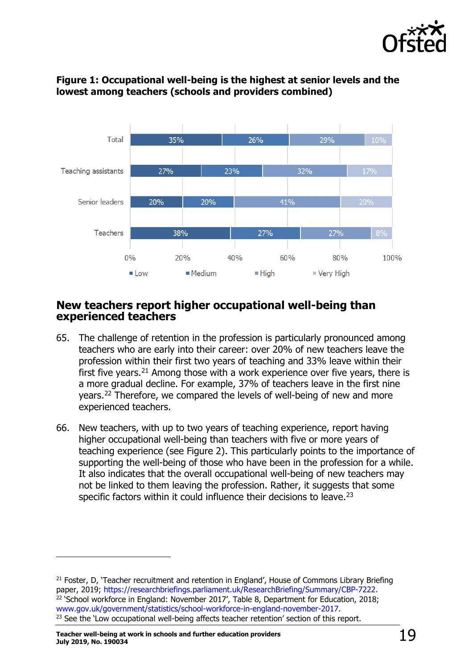



#### **Figure 1: Occupational well-being is the highest at senior levels and the lowest among teachers (schools and providers combined)**

#### <span id="page-18-0"></span>**New teachers report higher occupational well-being than experienced teachers**

- 65. The challenge of retention in the profession is particularly pronounced among teachers who are early into their career: over 20% of new teachers leave the profession within their first two years of teaching and 33% leave within their first five years.<sup>[21](#page-18-1)</sup> Among those with a work experience over five years, there is a more gradual decline. For example, 37% of teachers leave in the first nine years.[22](#page-18-2) Therefore, we compared the levels of well-being of new and more experienced teachers.
- 66. New teachers, with up to two years of teaching experience, report having higher occupational well-being than teachers with five or more years of teaching experience (see Figure 2). This particularly points to the importance of supporting the well-being of those who have been in the profession for a while. It also indicates that the overall occupational well-being of new teachers may not be linked to them leaving the profession. Rather, it suggests that some specific factors within it could influence their decisions to leave.<sup>[23](#page-18-3)</sup>

<span id="page-18-3"></span><span id="page-18-2"></span><span id="page-18-1"></span><sup>&</sup>lt;sup>21</sup> Foster, D, 'Teacher recruitment and retention in England', House of Commons Library Briefing paper, 2019; https://researchbriefings.parliament.uk/ResearchBriefing/Summary/CBP-7222. <sup>22</sup> School workforce in England: November 2017', Table 8, Department for Education, 2018;<br>www.gov.uk/government/statistics/school-workforce-in-england-november-2017. <sup>23</sup> See the 'Low occupational well-being affects teacher retention' section of this report.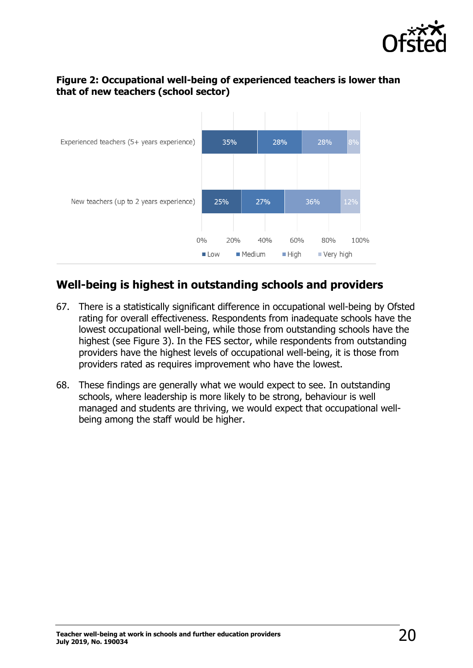

### **Figure 2: Occupational well-being of experienced teachers is lower than that of new teachers (school sector)**



### <span id="page-19-0"></span>**Well-being is highest in outstanding schools and providers**

- 67. There is a statistically significant difference in occupational well-being by Ofsted rating for overall effectiveness. Respondents from inadequate schools have the lowest occupational well-being, while those from outstanding schools have the highest (see Figure 3). In the FES sector, while respondents from outstanding providers have the highest levels of occupational well-being, it is those from providers rated as requires improvement who have the lowest.
- 68. These findings are generally what we would expect to see. In outstanding schools, where leadership is more likely to be strong, behaviour is well managed and students are thriving, we would expect that occupational wellbeing among the staff would be higher.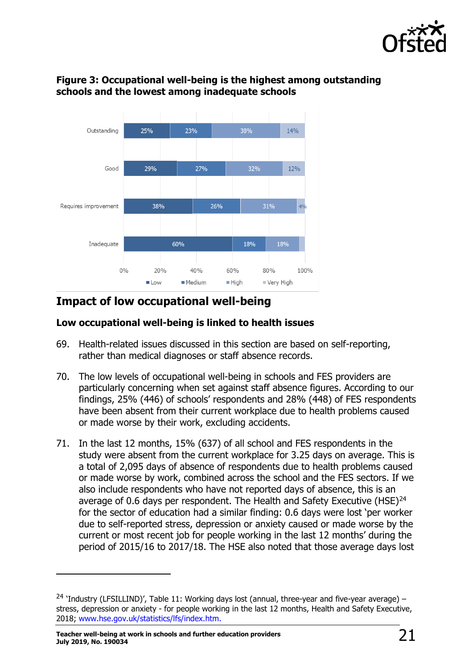



### **Figure 3: Occupational well-being is the highest among outstanding schools and the lowest among inadequate schools**

### <span id="page-20-0"></span>**Impact of low occupational well-being**

### <span id="page-20-1"></span>**Low occupational well-being is linked to health issues**

- 69. Health-related issues discussed in this section are based on self-reporting, rather than medical diagnoses or staff absence records.
- 70. The low levels of occupational well-being in schools and FES providers are particularly concerning when set against staff absence figures. According to our findings, 25% (446) of schools' respondents and 28% (448) of FES respondents have been absent from their current workplace due to health problems caused or made worse by their work, excluding accidents.
- 71. In the last 12 months, 15% (637) of all school and FES respondents in the study were absent from the current workplace for 3.25 days on average. This is a total of 2,095 days of absence of respondents due to health problems caused or made worse by work, combined across the school and the FES sectors. If we also include respondents who have not reported days of absence, this is an average of 0.6 days per respondent. The Health and Safety Executive (HSE) $^{24}$  $^{24}$  $^{24}$ for the sector of education had a similar finding: 0.6 days were lost 'per worker due to self-reported stress, depression or anxiety caused or made worse by the current or most recent job for people working in the last 12 months' during the period of 2015/16 to 2017/18. The HSE also noted that those average days lost

<span id="page-20-2"></span><sup>&</sup>lt;sup>24</sup> 'Industry (LFSILLIND)', Table 11: Working days lost (annual, three-year and five-year average) – stress, depression or anxiety - for people working in the last 12 months, Health and Safety Executive, 2018; [www.hse.gov.uk/statistics/lfs/index.htm.](http://www.hse.gov.uk/statistics/lfs/index.htm)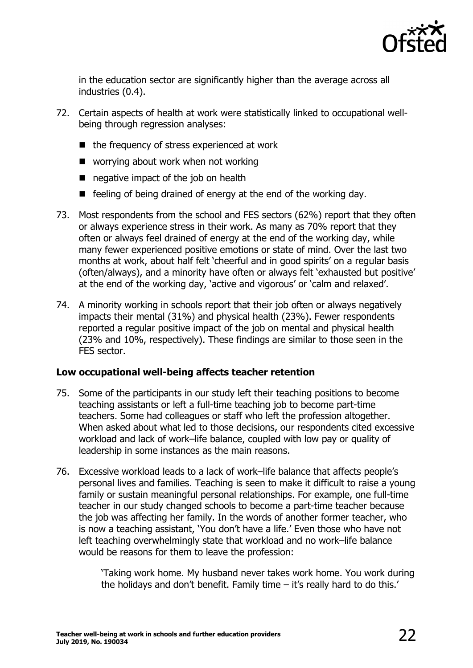

in the education sector are significantly higher than the average across all industries (0.4).

- 72. Certain aspects of health at work were statistically linked to occupational wellbeing through regression analyses:
	- $\blacksquare$  the frequency of stress experienced at work
	- worrying about work when not working
	- negative impact of the job on health
	- $\blacksquare$  feeling of being drained of energy at the end of the working day.
- 73. Most respondents from the school and FES sectors (62%) report that they often or always experience stress in their work. As many as 70% report that they often or always feel drained of energy at the end of the working day, while many fewer experienced positive emotions or state of mind. Over the last two months at work, about half felt 'cheerful and in good spirits' on a regular basis (often/always), and a minority have often or always felt 'exhausted but positive' at the end of the working day, 'active and vigorous' or 'calm and relaxed'.
- 74. A minority working in schools report that their job often or always negatively impacts their mental (31%) and physical health (23%). Fewer respondents reported a regular positive impact of the job on mental and physical health (23% and 10%, respectively). These findings are similar to those seen in the FES sector.

#### <span id="page-21-0"></span>**Low occupational well-being affects teacher retention**

- 75. Some of the participants in our study left their teaching positions to become teaching assistants or left a full-time teaching job to become part-time teachers. Some had colleagues or staff who left the profession altogether. When asked about what led to those decisions, our respondents cited excessive workload and lack of work–life balance, coupled with low pay or quality of leadership in some instances as the main reasons.
- 76. Excessive workload leads to a lack of work–life balance that affects people's personal lives and families. Teaching is seen to make it difficult to raise a young family or sustain meaningful personal relationships. For example, one full-time teacher in our study changed schools to become a part-time teacher because the job was affecting her family. In the words of another former teacher, who is now a teaching assistant, 'You don't have a life.' Even those who have not left teaching overwhelmingly state that workload and no work–life balance would be reasons for them to leave the profession:

'Taking work home. My husband never takes work home. You work during the holidays and don't benefit. Family time – it's really hard to do this.'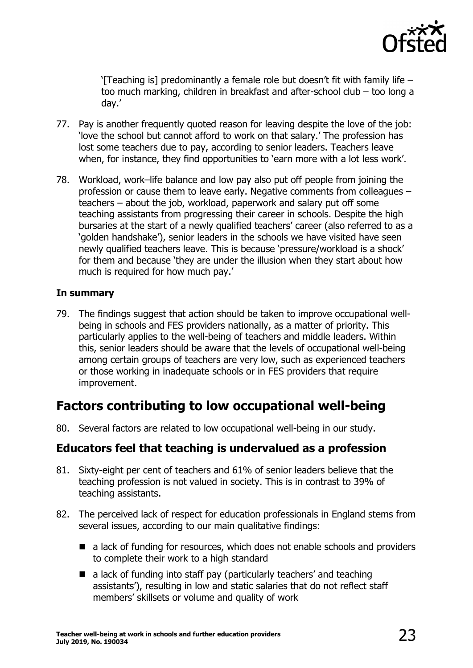

'[Teaching is] predominantly a female role but doesn't fit with family life  $$ too much marking, children in breakfast and after-school club – too long a day.'

- 77. Pay is another frequently quoted reason for leaving despite the love of the job: 'love the school but cannot afford to work on that salary.' The profession has lost some teachers due to pay, according to senior leaders. Teachers leave when, for instance, they find opportunities to 'earn more with a lot less work'.
- 78. Workload, work–life balance and low pay also put off people from joining the profession or cause them to leave early. Negative comments from colleagues – teachers – about the job, workload, paperwork and salary put off some teaching assistants from progressing their career in schools. Despite the high bursaries at the start of a newly qualified teachers' career (also referred to as a 'golden handshake'), senior leaders in the schools we have visited have seen newly qualified teachers leave. This is because 'pressure/workload is a shock' for them and because 'they are under the illusion when they start about how much is required for how much pay.'

#### <span id="page-22-0"></span>**In summary**

79. The findings suggest that action should be taken to improve occupational wellbeing in schools and FES providers nationally, as a matter of priority. This particularly applies to the well-being of teachers and middle leaders. Within this, senior leaders should be aware that the levels of occupational well-being among certain groups of teachers are very low, such as experienced teachers or those working in inadequate schools or in FES providers that require improvement.

### <span id="page-22-1"></span>**Factors contributing to low occupational well-being**

80. Several factors are related to low occupational well-being in our study.

### <span id="page-22-2"></span>**Educators feel that teaching is undervalued as a profession**

- 81. Sixty-eight per cent of teachers and 61% of senior leaders believe that the teaching profession is not valued in society. This is in contrast to 39% of teaching assistants.
- 82. The perceived lack of respect for education professionals in England stems from several issues, according to our main qualitative findings:
	- a lack of funding for resources, which does not enable schools and providers to complete their work to a high standard
	- a lack of funding into staff pay (particularly teachers' and teaching assistants'), resulting in low and static salaries that do not reflect staff members' skillsets or volume and quality of work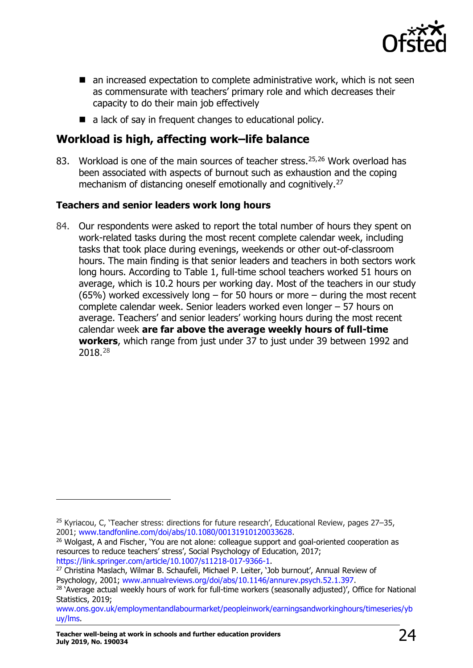

- an increased expectation to complete administrative work, which is not seen as commensurate with teachers' primary role and which decreases their capacity to do their main job effectively
- a lack of say in frequent changes to educational policy.

### <span id="page-23-0"></span>**Workload is high, affecting work–life balance**

83. Workload is one of the main sources of teacher stress. [25](#page-23-2),[26](#page-23-3) Work overload has been associated with aspects of burnout such as exhaustion and the coping mechanism of distancing oneself emotionally and cognitively.<sup>[27](#page-23-4)</sup>

### <span id="page-23-1"></span>**Teachers and senior leaders work long hours**

84. Our respondents were asked to report the total number of hours they spent on work-related tasks during the most recent complete calendar week, including tasks that took place during evenings, weekends or other out-of-classroom hours. The main finding is that senior leaders and teachers in both sectors work long hours. According to Table 1, full-time school teachers worked 51 hours on average, which is 10.2 hours per working day. Most of the teachers in our study (65%) worked excessively long – for 50 hours or more – during the most recent complete calendar week. Senior leaders worked even longer – 57 hours on average. Teachers' and senior leaders' working hours during the most recent calendar week **are far above the average weekly hours of full-time workers**, which range from just under 37 to just under 39 between 1992 and 2018.[28](#page-23-5)

<span id="page-23-2"></span><sup>25</sup> Kyriacou, C, 'Teacher stress: directions for future research', Educational Review, pages 27–35, 2001; [www.tandfonline.com/doi/abs/10.1080/00131910120033628.](http://www.tandfonline.com/doi/abs/10.1080/00131910120033628)<br><sup>26</sup> Wolgast, A and Fischer, 'You are not alone: colleague support and goal-oriented cooperation as

<span id="page-23-3"></span>resources to reduce teachers' stress', [Social Psychology of Education,](https://www.researchgate.net/journal/1381-2890_Social_Psychology_of_Education) 2017;<br>https://link.springer.com/article/10.1007/s11218-017-9366-1.

<span id="page-23-4"></span><sup>&</sup>lt;sup>27</sup> Christina Maslach, Wilmar B. Schaufeli, Michael P. Leiter, 'Job burnout', Annual Review of<br>Psychology, 2001; www.annualreviews.org/doi/abs/10.1146/annurev.psych.52.1.397.

<span id="page-23-5"></span><sup>&</sup>lt;sup>28</sup> 'Average actual weekly hours of work for full-time workers (seasonally adjusted)', Office for National Statistics, 2019;

[www.ons.gov.uk/employmentandlabourmarket/peopleinwork/earningsandworkinghours/timeseries/yb](http://www.ons.gov.uk/employmentandlabourmarket/peopleinwork/earningsandworkinghours/timeseries/ybuy/lms) [uy/lms.](http://www.ons.gov.uk/employmentandlabourmarket/peopleinwork/earningsandworkinghours/timeseries/ybuy/lms)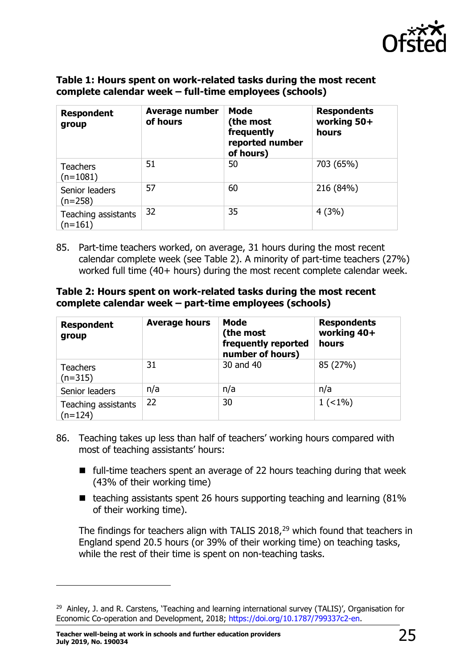

#### **Table 1: Hours spent on work-related tasks during the most recent complete calendar week – full-time employees (schools)**

| <b>Respondent</b><br>group       | <b>Average number</b><br>of hours | <b>Mode</b><br>(the most<br>frequently<br>reported number<br>of hours) | <b>Respondents</b><br>working 50+<br>hours |
|----------------------------------|-----------------------------------|------------------------------------------------------------------------|--------------------------------------------|
| <b>Teachers</b><br>$(n=1081)$    | 51                                | 50                                                                     | 703 (65%)                                  |
| Senior leaders<br>$(n=258)$      | 57                                | 60                                                                     | 216 (84%)                                  |
| Teaching assistants<br>$(n=161)$ | 32                                | 35                                                                     | 4(3%)                                      |

85. Part-time teachers worked, on average, 31 hours during the most recent calendar complete week (see Table 2). A minority of part-time teachers (27%) worked full time (40+ hours) during the most recent complete calendar week.

#### **Table 2: Hours spent on work-related tasks during the most recent complete calendar week – part-time employees (schools)**

| <b>Respondent</b><br>group       | <b>Average hours</b> | <b>Mode</b><br>(the most<br>frequently reported<br>number of hours) | <b>Respondents</b><br>working 40+<br>hours |
|----------------------------------|----------------------|---------------------------------------------------------------------|--------------------------------------------|
| <b>Teachers</b><br>$(n=315)$     | 31                   | 30 and 40                                                           | 85 (27%)                                   |
| Senior leaders                   | n/a                  | n/a                                                                 | n/a                                        |
| Teaching assistants<br>$(n=124)$ | 22                   | 30                                                                  | $1 (< 1\%)$                                |

- 86. Teaching takes up less than half of teachers' working hours compared with most of teaching assistants' hours:
	- $\blacksquare$  full-time teachers spent an average of 22 hours teaching during that week (43% of their working time)
	- $\blacksquare$  teaching assistants spent 26 hours supporting teaching and learning (81%) of their working time).

The findings for teachers align with TALIS 2018,<sup>[29](#page-24-0)</sup> which found that teachers in England spend 20.5 hours (or 39% of their working time) on teaching tasks, while the rest of their time is spent on non-teaching tasks.

<span id="page-24-0"></span><sup>&</sup>lt;sup>29</sup> Ainley, J. and R. Carstens, 'Teaching and learning international survey (TALIS)', Organisation for Economic Co-operation and Development, 2018; [https://doi.org/10.1787/799337c2-en.](https://doi.org/10.1787/799337c2-en)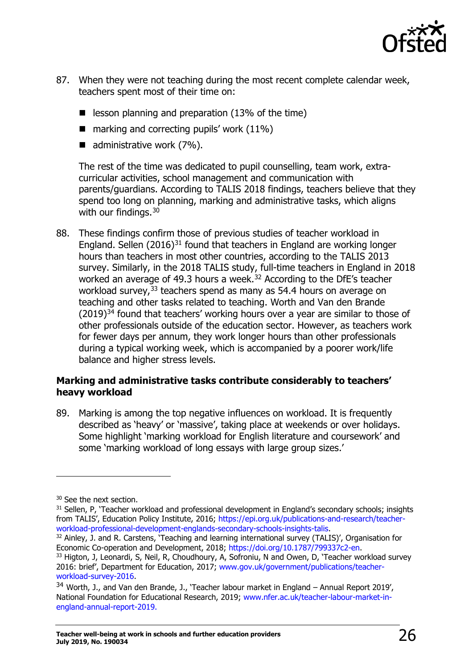

- 87. When they were not teaching during the most recent complete calendar week, teachers spent most of their time on:
	- $\blacksquare$  lesson planning and preparation (13% of the time)
	- $\blacksquare$  marking and correcting pupils' work (11%)
	- $\blacksquare$  administrative work (7%).

The rest of the time was dedicated to pupil counselling, team work, extracurricular activities, school management and communication with parents/guardians. According to TALIS 2018 findings, teachers believe that they spend too long on planning, marking and administrative tasks, which aligns with our findings.<sup>[30](#page-25-1)</sup>

88. These findings confirm those of previous studies of teacher workload in England. Sellen  $(2016)^{31}$  $(2016)^{31}$  $(2016)^{31}$  found that teachers in England are working longer hours than teachers in most other countries, according to the TALIS 2013 survey. Similarly, in the 2018 TALIS study, full-time teachers in England in 2018 worked an average of 49.3 hours a week.<sup>[32](#page-25-3)</sup> According to the DfE's teacher workload survey,<sup>[33](#page-25-4)</sup> teachers spend as many as 54.4 hours on average on teaching and other tasks related to teaching. Worth and Van den Brande  $(2019)^{34}$  $(2019)^{34}$  $(2019)^{34}$  found that teachers' working hours over a year are similar to those of other professionals outside of the education sector. However, as teachers work for fewer days per annum, they work longer hours than other professionals during a typical working week, which is accompanied by a poorer work/life balance and higher stress levels.

#### <span id="page-25-0"></span>**Marking and administrative tasks contribute considerably to teachers' heavy workload**

89. Marking is among the top negative influences on workload. It is frequently described as 'heavy' or 'massive', taking place at weekends or over holidays. Some highlight 'marking workload for English literature and coursework' and some 'marking workload of long essays with large group sizes.'

ł

<span id="page-25-3"></span> $32$  Ainley, J. and R. Carstens, 'Teaching and learning international survey (TALIS)', Organisation for Economic Co-operation and Development, 2018; [https://doi.org/10.1787/799337c2-en.](https://doi.org/10.1787/799337c2-en)

<span id="page-25-1"></span><sup>&</sup>lt;sup>30</sup> See the next section.

<span id="page-25-2"></span><sup>&</sup>lt;sup>31</sup> Sellen, P, 'Teacher workload and professional development in England's secondary schools; insights from TALIS', Education Policy Institute, 2016; https://epi.org.uk/publications-and-research/teacher-<br>workload-professional-development-englands-secondary-schools-insights-talis.

<span id="page-25-4"></span><sup>&</sup>lt;sup>33</sup> Higton, J, Leonardi, S, Neil, R, Choudhoury, A, Sofroniu, N and Owen, D, 'Teacher workload survey 2016: brief', Department for Education, 2017; [www.gov.uk/government/publications/teacher-](http://www.gov.uk/government/publications/teacher-workload-survey-2016)

<span id="page-25-5"></span>[workload-survey-2016.](http://www.gov.uk/government/publications/teacher-workload-survey-2016)<br><sup>34</sup> Worth, J., and Van den Brande, J., 'Teacher labour market in England – Annual Report 2019', National Foundation for Educational Research, 2019; [www.nfer.ac.uk/teacher-labour-market-in](https://www.nfer.ac.uk/teacher-labour-market-in-england-annual-report-2019/)[england-annual-report-2019.](https://www.nfer.ac.uk/teacher-labour-market-in-england-annual-report-2019/)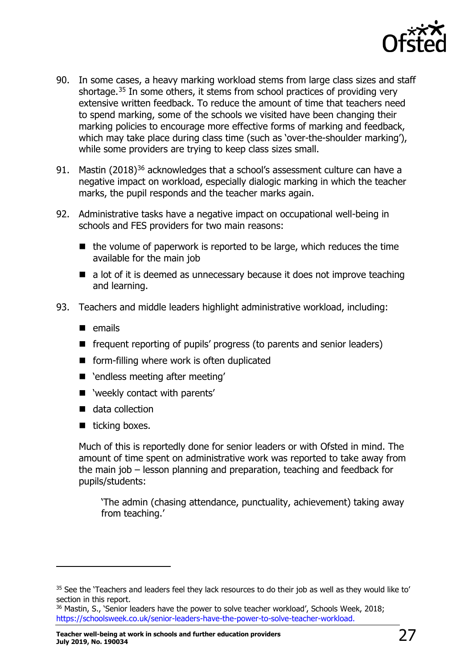

- 90. In some cases, a heavy marking workload stems from large class sizes and staff shortage.<sup>[35](#page-26-0)</sup> In some others, it stems from school practices of providing very extensive written feedback. To reduce the amount of time that teachers need to spend marking, some of the schools we visited have been changing their marking policies to encourage more effective forms of marking and feedback, which may take place during class time (such as 'over-the-shoulder marking'), while some providers are trying to keep class sizes small.
- 91. Mastin (2018)<sup>[36](#page-26-1)</sup> acknowledges that a school's assessment culture can have a negative impact on workload, especially dialogic marking in which the teacher marks, the pupil responds and the teacher marks again.
- 92. Administrative tasks have a negative impact on occupational well-being in schools and FES providers for two main reasons:
	- $\blacksquare$  the volume of paperwork is reported to be large, which reduces the time available for the main job
	- a lot of it is deemed as unnecessary because it does not improve teaching and learning.
- 93. Teachers and middle leaders highlight administrative workload, including:
	- $\blacksquare$  emails
	- $\blacksquare$  frequent reporting of pupils' progress (to parents and senior leaders)
	- $\blacksquare$  form-filling where work is often duplicated
	- 'endless meeting after meeting'
	- 'weekly contact with parents'
	- data collection
	- $\blacksquare$  ticking boxes.

ł

Much of this is reportedly done for senior leaders or with Ofsted in mind. The amount of time spent on administrative work was reported to take away from the main job – lesson planning and preparation, teaching and feedback for pupils/students:

'The admin (chasing attendance, punctuality, achievement) taking away from teaching.'

<span id="page-26-0"></span><sup>&</sup>lt;sup>35</sup> See the 'Teachers and leaders feel they lack resources to do their job as well as they would like to' section in this report.

<span id="page-26-1"></span><sup>&</sup>lt;sup>36</sup> Mastin, S., 'Senior leaders have the power to solve teacher workload', Schools Week, 2018; [https://schoolsweek.co.uk/senior-leaders-have-the-power-to-solve-teacher-workload.](https://schoolsweek.co.uk/senior-leaders-have-the-power-to-solve-teacher-workload)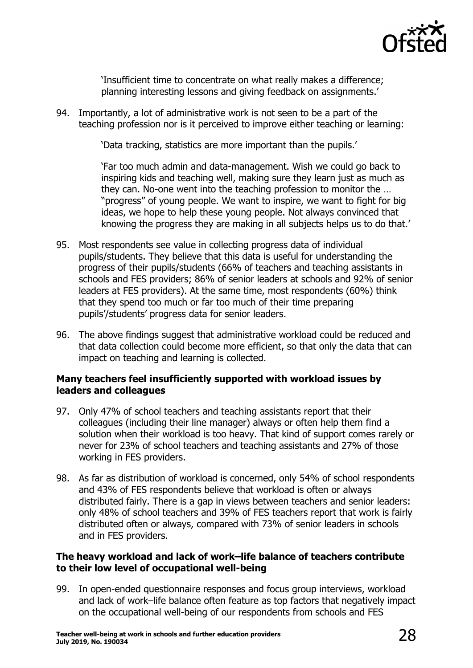

'Insufficient time to concentrate on what really makes a difference; planning interesting lessons and giving feedback on assignments.'

94. Importantly, a lot of administrative work is not seen to be a part of the teaching profession nor is it perceived to improve either teaching or learning:

'Data tracking, statistics are more important than the pupils.'

'Far too much admin and data-management. Wish we could go back to inspiring kids and teaching well, making sure they learn just as much as they can. No-one went into the teaching profession to monitor the … "progress" of young people. We want to inspire, we want to fight for big ideas, we hope to help these young people. Not always convinced that knowing the progress they are making in all subjects helps us to do that.'

- 95. Most respondents see value in collecting progress data of individual pupils/students. They believe that this data is useful for understanding the progress of their pupils/students (66% of teachers and teaching assistants in schools and FES providers; 86% of senior leaders at schools and 92% of senior leaders at FES providers). At the same time, most respondents (60%) think that they spend too much or far too much of their time preparing pupils'/students' progress data for senior leaders.
- 96. The above findings suggest that administrative workload could be reduced and that data collection could become more efficient, so that only the data that can impact on teaching and learning is collected.

#### <span id="page-27-0"></span>**Many teachers feel insufficiently supported with workload issues by leaders and colleagues**

- 97. Only 47% of school teachers and teaching assistants report that their colleagues (including their line manager) always or often help them find a solution when their workload is too heavy. That kind of support comes rarely or never for 23% of school teachers and teaching assistants and 27% of those working in FES providers.
- 98. As far as distribution of workload is concerned, only 54% of school respondents and 43% of FES respondents believe that workload is often or always distributed fairly. There is a gap in views between teachers and senior leaders: only 48% of school teachers and 39% of FES teachers report that work is fairly distributed often or always, compared with 73% of senior leaders in schools and in FES providers.

#### <span id="page-27-1"></span>**The heavy workload and lack of work–life balance of teachers contribute to their low level of occupational well-being**

99. In open-ended questionnaire responses and focus group interviews, workload and lack of work–life balance often feature as top factors that negatively impact on the occupational well-being of our respondents from schools and FES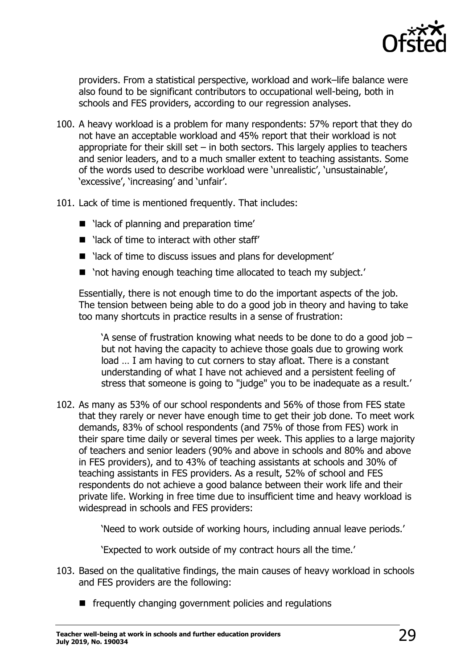

providers. From a statistical perspective, workload and work–life balance were also found to be significant contributors to occupational well-being, both in schools and FES providers, according to our regression analyses.

- 100. A heavy workload is a problem for many respondents: 57% report that they do not have an acceptable workload and 45% report that their workload is not appropriate for their skill set  $-$  in both sectors. This largely applies to teachers and senior leaders, and to a much smaller extent to teaching assistants. Some of the words used to describe workload were 'unrealistic', 'unsustainable', 'excessive', 'increasing' and 'unfair'.
- 101. Lack of time is mentioned frequently. That includes:
	- lack of planning and preparation time'
	- $\blacksquare$  'lack of time to interact with other staff'
	- lack of time to discuss issues and plans for development'
	- 'not having enough teaching time allocated to teach my subject.'

Essentially, there is not enough time to do the important aspects of the job. The tension between being able to do a good job in theory and having to take too many shortcuts in practice results in a sense of frustration:

'A sense of frustration knowing what needs to be done to do a good job – but not having the capacity to achieve those goals due to growing work load … I am having to cut corners to stay afloat. There is a constant understanding of what I have not achieved and a persistent feeling of stress that someone is going to "judge" you to be inadequate as a result.'

102. As many as 53% of our school respondents and 56% of those from FES state that they rarely or never have enough time to get their job done. To meet work demands, 83% of school respondents (and 75% of those from FES) work in their spare time daily or several times per week. This applies to a large majority of teachers and senior leaders (90% and above in schools and 80% and above in FES providers), and to 43% of teaching assistants at schools and 30% of teaching assistants in FES providers. As a result, 52% of school and FES respondents do not achieve a good balance between their work life and their private life. Working in free time due to insufficient time and heavy workload is widespread in schools and FES providers:

'Need to work outside of working hours, including annual leave periods.'

'Expected to work outside of my contract hours all the time.'

- 103. Based on the qualitative findings, the main causes of heavy workload in schools and FES providers are the following:
	- $\blacksquare$  frequently changing government policies and regulations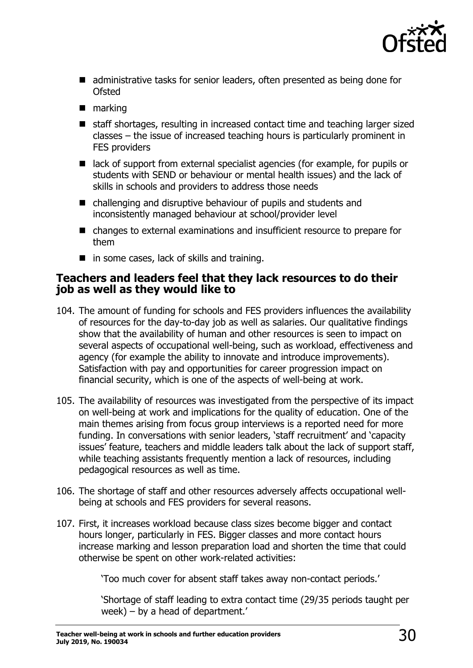

- administrative tasks for senior leaders, often presented as being done for Ofsted
- **narking**
- staff shortages, resulting in increased contact time and teaching larger sized classes – the issue of increased teaching hours is particularly prominent in FES providers
- lack of support from external specialist agencies (for example, for pupils or students with SEND or behaviour or mental health issues) and the lack of skills in schools and providers to address those needs
- challenging and disruptive behaviour of pupils and students and inconsistently managed behaviour at school/provider level
- changes to external examinations and insufficient resource to prepare for them
- in some cases, lack of skills and training.

### <span id="page-29-0"></span>**Teachers and leaders feel that they lack resources to do their job as well as they would like to**

- 104. The amount of funding for schools and FES providers influences the availability of resources for the day-to-day job as well as salaries. Our qualitative findings show that the availability of human and other resources is seen to impact on several aspects of occupational well-being, such as workload, effectiveness and agency (for example the ability to innovate and introduce improvements). Satisfaction with pay and opportunities for career progression impact on financial security, which is one of the aspects of well-being at work.
- 105. The availability of resources was investigated from the perspective of its impact on well-being at work and implications for the quality of education. One of the main themes arising from focus group interviews is a reported need for more funding. In conversations with senior leaders, 'staff recruitment' and 'capacity issues' feature, teachers and middle leaders talk about the lack of support staff, while teaching assistants frequently mention a lack of resources, including pedagogical resources as well as time.
- 106. The shortage of staff and other resources adversely affects occupational wellbeing at schools and FES providers for several reasons.
- 107. First, it increases workload because class sizes become bigger and contact hours longer, particularly in FES. Bigger classes and more contact hours increase marking and lesson preparation load and shorten the time that could otherwise be spent on other work-related activities:

'Too much cover for absent staff takes away non-contact periods.'

'Shortage of staff leading to extra contact time (29/35 periods taught per week) – by a head of department.'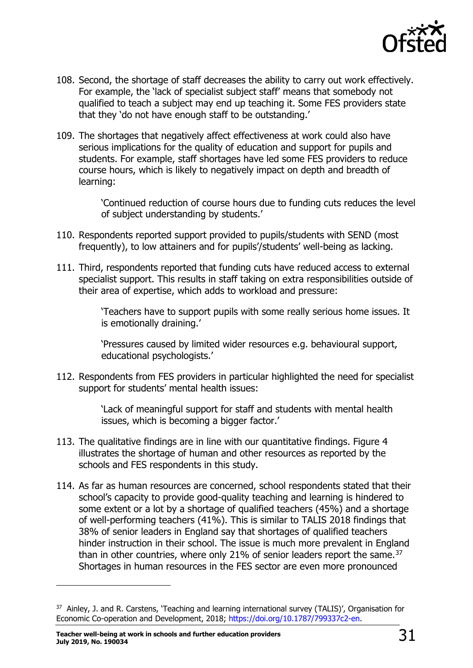

- 108. Second, the shortage of staff decreases the ability to carry out work effectively. For example, the 'lack of specialist subject staff' means that somebody not qualified to teach a subject may end up teaching it. Some FES providers state that they 'do not have enough staff to be outstanding.'
- 109. The shortages that negatively affect effectiveness at work could also have serious implications for the quality of education and support for pupils and students. For example, staff shortages have led some FES providers to reduce course hours, which is likely to negatively impact on depth and breadth of learning:

'Continued reduction of course hours due to funding cuts reduces the level of subject understanding by students.'

- 110. Respondents reported support provided to pupils/students with SEND (most frequently), to low attainers and for pupils'/students' well-being as lacking.
- 111. Third, respondents reported that funding cuts have reduced access to external specialist support. This results in staff taking on extra responsibilities outside of their area of expertise, which adds to workload and pressure:

'Teachers have to support pupils with some really serious home issues. It is emotionally draining.'

'Pressures caused by limited wider resources e.g. behavioural support, educational psychologists.'

112. Respondents from FES providers in particular highlighted the need for specialist support for students' mental health issues:

> 'Lack of meaningful support for staff and students with mental health issues, which is becoming a bigger factor.'

- 113. The qualitative findings are in line with our quantitative findings. Figure 4 illustrates the shortage of human and other resources as reported by the schools and FES respondents in this study.
- 114. As far as human resources are concerned, school respondents stated that their school's capacity to provide good-quality teaching and learning is hindered to some extent or a lot by a shortage of qualified teachers (45%) and a shortage of well-performing teachers (41%). This is similar to TALIS 2018 findings that 38% of senior leaders in England say that shortages of qualified teachers hinder instruction in their school. The issue is much more prevalent in England than in other countries, where only 21% of senior leaders report the same.<sup>[37](#page-30-0)</sup> Shortages in human resources in the FES sector are even more pronounced

<span id="page-30-0"></span><sup>&</sup>lt;sup>37</sup> Ainley, J. and R. Carstens, 'Teaching and learning international survey (TALIS)', Organisation for Economic Co-operation and Development, 2018; [https://doi.org/10.1787/799337c2-en.](https://doi.org/10.1787/799337c2-en)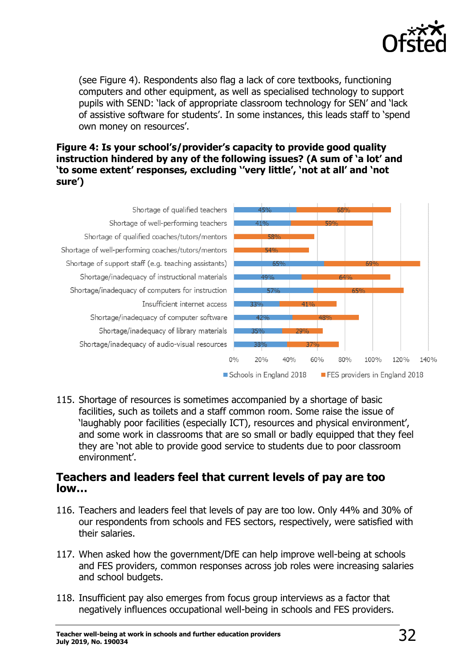

(see Figure 4). Respondents also flag a lack of core textbooks, functioning computers and other equipment, as well as specialised technology to support pupils with SEND: 'lack of appropriate classroom technology for SEN' and 'lack of assistive software for students'. In some instances, this leads staff to 'spend own money on resources'.

#### **Figure 4: Is your school's/provider's capacity to provide good quality instruction hindered by any of the following issues? (A sum of 'a lot' and 'to some extent' responses, excluding ''very little', 'not at all' and 'not sure')**



115. Shortage of resources is sometimes accompanied by a shortage of basic facilities, such as toilets and a staff common room. Some raise the issue of 'laughably poor facilities (especially ICT), resources and physical environment', and some work in classrooms that are so small or badly equipped that they feel they are 'not able to provide good service to students due to poor classroom environment'.

### <span id="page-31-0"></span>**Teachers and leaders feel that current levels of pay are too low…**

- 116. Teachers and leaders feel that levels of pay are too low. Only 44% and 30% of our respondents from schools and FES sectors, respectively, were satisfied with their salaries.
- 117. When asked how the government/DfE can help improve well-being at schools and FES providers, common responses across job roles were increasing salaries and school budgets.
- 118. Insufficient pay also emerges from focus group interviews as a factor that negatively influences occupational well-being in schools and FES providers.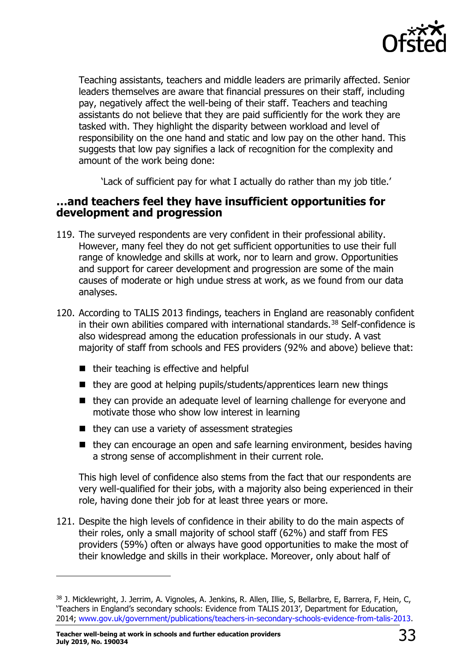

Teaching assistants, teachers and middle leaders are primarily affected. Senior leaders themselves are aware that financial pressures on their staff, including pay, negatively affect the well-being of their staff. Teachers and teaching assistants do not believe that they are paid sufficiently for the work they are tasked with. They highlight the disparity between workload and level of responsibility on the one hand and static and low pay on the other hand. This suggests that low pay signifies a lack of recognition for the complexity and amount of the work being done:

'Lack of sufficient pay for what I actually do rather than my job title.'

### <span id="page-32-0"></span>**…and teachers feel they have insufficient opportunities for development and progression**

- 119. The surveyed respondents are very confident in their professional ability. However, many feel they do not get sufficient opportunities to use their full range of knowledge and skills at work, nor to learn and grow. Opportunities and support for career development and progression are some of the main causes of moderate or high undue stress at work, as we found from our data analyses.
- 120. According to TALIS 2013 findings, teachers in England are reasonably confident in their own abilities compared with international standards.<sup>[38](#page-32-1)</sup> Self-confidence is also widespread among the education professionals in our study. A vast majority of staff from schools and FES providers (92% and above) believe that:
	- $\blacksquare$  their teaching is effective and helpful
	- $\blacksquare$  they are good at helping pupils/students/apprentices learn new things
	- they can provide an adequate level of learning challenge for everyone and motivate those who show low interest in learning
	- $\blacksquare$  they can use a variety of assessment strategies
	- $\blacksquare$  they can encourage an open and safe learning environment, besides having a strong sense of accomplishment in their current role.

This high level of confidence also stems from the fact that our respondents are very well-qualified for their jobs, with a majority also being experienced in their role, having done their job for at least three years or more.

121. Despite the high levels of confidence in their ability to do the main aspects of their roles, only a small majority of school staff (62%) and staff from FES providers (59%) often or always have good opportunities to make the most of their knowledge and skills in their workplace. Moreover, only about half of

<span id="page-32-1"></span><sup>38</sup> J. Micklewright, J. Jerrim, A. Vignoles, A. Jenkins, R. Allen, Illie, S, Bellarbre, E, Barrera, F, Hein, C, 'Teachers in England's secondary schools: Evidence from TALIS 2013', Department for Education, 2014; [www.gov.uk/government/publications/teachers-in-secondary-schools-evidence-from-talis-2013.](http://www.gov.uk/government/publications/teachers-in-secondary-schools-evidence-from-talis-2013)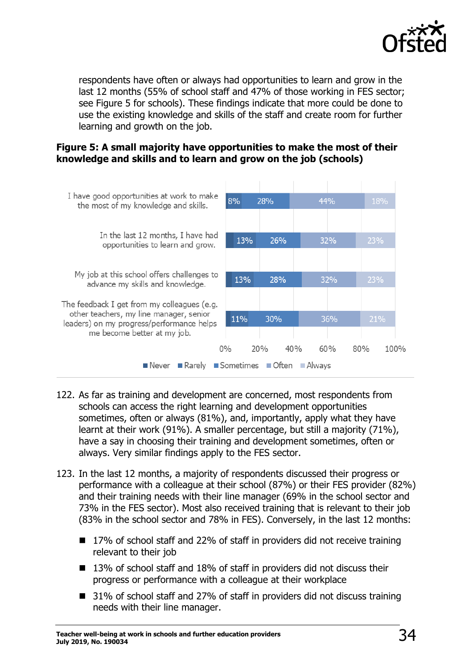

respondents have often or always had opportunities to learn and grow in the last 12 months (55% of school staff and 47% of those working in FES sector; see Figure 5 for schools). These findings indicate that more could be done to use the existing knowledge and skills of the staff and create room for further learning and growth on the job.





- 122. As far as training and development are concerned, most respondents from schools can access the right learning and development opportunities sometimes, often or always (81%), and, importantly, apply what they have learnt at their work (91%). A smaller percentage, but still a majority (71%), have a say in choosing their training and development sometimes, often or always. Very similar findings apply to the FES sector.
- 123. In the last 12 months, a majority of respondents discussed their progress or performance with a colleague at their school (87%) or their FES provider (82%) and their training needs with their line manager (69% in the school sector and 73% in the FES sector). Most also received training that is relevant to their job (83% in the school sector and 78% in FES). Conversely, in the last 12 months:
	- 17% of school staff and 22% of staff in providers did not receive training relevant to their job
	- 13% of school staff and 18% of staff in providers did not discuss their progress or performance with a colleague at their workplace
	- 31% of school staff and 27% of staff in providers did not discuss training needs with their line manager.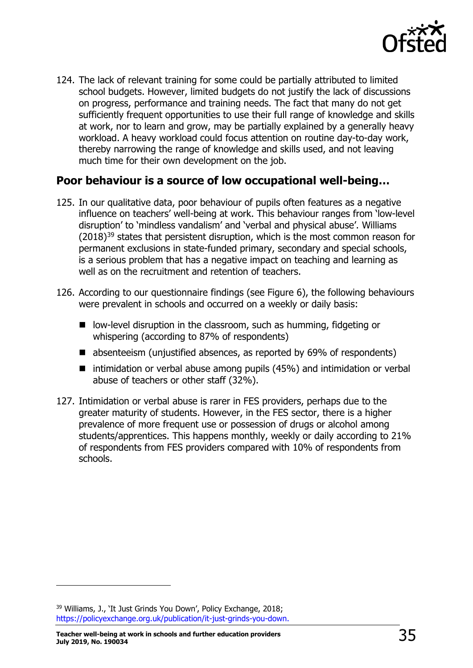

124. The lack of relevant training for some could be partially attributed to limited school budgets. However, limited budgets do not justify the lack of discussions on progress, performance and training needs. The fact that many do not get sufficiently frequent opportunities to use their full range of knowledge and skills at work, nor to learn and grow, may be partially explained by a generally heavy workload. A heavy workload could focus attention on routine day-to-day work, thereby narrowing the range of knowledge and skills used, and not leaving much time for their own development on the job.

### <span id="page-34-0"></span>**Poor behaviour is a source of low occupational well-being…**

- 125. In our qualitative data, poor behaviour of pupils often features as a negative influence on teachers' well-being at work. This behaviour ranges from 'low-level disruption' to 'mindless vandalism' and 'verbal and physical abuse'. Williams  $(2018)^{39}$  $(2018)^{39}$  $(2018)^{39}$  states that persistent disruption, which is the most common reason for permanent exclusions in state-funded primary, secondary and special schools, is a serious problem that has a negative impact on teaching and learning as well as on the recruitment and retention of teachers.
- 126. According to our questionnaire findings (see Figure 6), the following behaviours were prevalent in schools and occurred on a weekly or daily basis:
	- low-level disruption in the classroom, such as humming, fidgeting or whispering (according to 87% of respondents)
	- absenteeism (unjustified absences, as reported by 69% of respondents)
	- intimidation or verbal abuse among pupils (45%) and intimidation or verbal abuse of teachers or other staff (32%).
- 127. Intimidation or verbal abuse is rarer in FES providers, perhaps due to the greater maturity of students. However, in the FES sector, there is a higher prevalence of more frequent use or possession of drugs or alcohol among students/apprentices. This happens monthly, weekly or daily according to 21% of respondents from FES providers compared with 10% of respondents from schools.

<span id="page-34-1"></span><sup>39</sup> Williams, J., 'It Just Grinds You Down', Policy Exchange, 2018; [https://policyexchange.org.uk/publication/it-just-grinds-you-down.](https://policyexchange.org.uk/publication/it-just-grinds-you-down)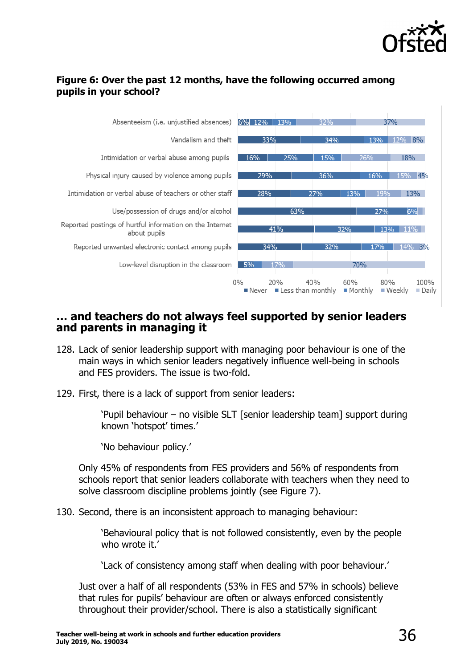

#### **Figure 6: Over the past 12 months, have the following occurred among pupils in your school?**



### <span id="page-35-0"></span>**… and teachers do not always feel supported by senior leaders and parents in managing it**

- 128. Lack of senior leadership support with managing poor behaviour is one of the main ways in which senior leaders negatively influence well-being in schools and FES providers. The issue is two-fold.
- 129. First, there is a lack of support from senior leaders:

'Pupil behaviour – no visible SLT [senior leadership team] support during known 'hotspot' times.'

'No behaviour policy.'

Only 45% of respondents from FES providers and 56% of respondents from schools report that senior leaders collaborate with teachers when they need to solve classroom discipline problems jointly (see Figure 7).

130. Second, there is an inconsistent approach to managing behaviour:

'Behavioural policy that is not followed consistently, even by the people who wrote it.'

'Lack of consistency among staff when dealing with poor behaviour.'

Just over a half of all respondents (53% in FES and 57% in schools) believe that rules for pupils' behaviour are often or always enforced consistently throughout their provider/school. There is also a statistically significant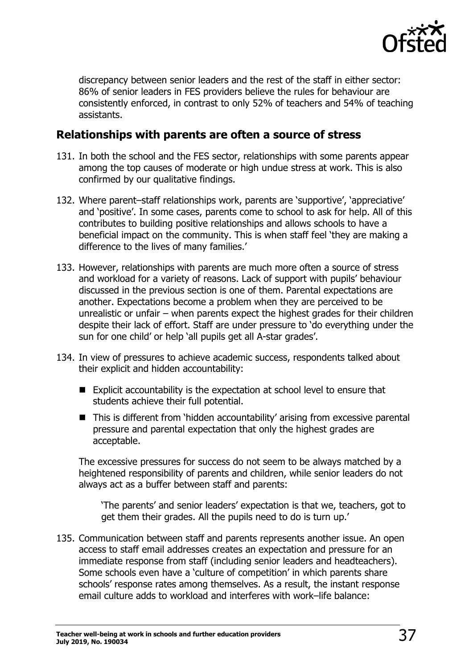

discrepancy between senior leaders and the rest of the staff in either sector: 86% of senior leaders in FES providers believe the rules for behaviour are consistently enforced, in contrast to only 52% of teachers and 54% of teaching assistants.

### <span id="page-36-0"></span>**Relationships with parents are often a source of stress**

- 131. In both the school and the FES sector, relationships with some parents appear among the top causes of moderate or high undue stress at work. This is also confirmed by our qualitative findings.
- 132. Where parent–staff relationships work, parents are 'supportive', 'appreciative' and 'positive'. In some cases, parents come to school to ask for help. All of this contributes to building positive relationships and allows schools to have a beneficial impact on the community. This is when staff feel 'they are making a difference to the lives of many families.'
- 133. However, relationships with parents are much more often a source of stress and workload for a variety of reasons. Lack of support with pupils' behaviour discussed in the previous section is one of them. Parental expectations are another. Expectations become a problem when they are perceived to be unrealistic or unfair – when parents expect the highest grades for their children despite their lack of effort. Staff are under pressure to 'do everything under the sun for one child' or help 'all pupils get all A-star grades'.
- 134. In view of pressures to achieve academic success, respondents talked about their explicit and hidden accountability:
	- Explicit accountability is the expectation at school level to ensure that students achieve their full potential.
	- This is different from 'hidden accountability' arising from excessive parental pressure and parental expectation that only the highest grades are acceptable.

The excessive pressures for success do not seem to be always matched by a heightened responsibility of parents and children, while senior leaders do not always act as a buffer between staff and parents:

'The parents' and senior leaders' expectation is that we, teachers, got to get them their grades. All the pupils need to do is turn up.'

135. Communication between staff and parents represents another issue. An open access to staff email addresses creates an expectation and pressure for an immediate response from staff (including senior leaders and headteachers). Some schools even have a 'culture of competition' in which parents share schools' response rates among themselves. As a result, the instant response email culture adds to workload and interferes with work–life balance: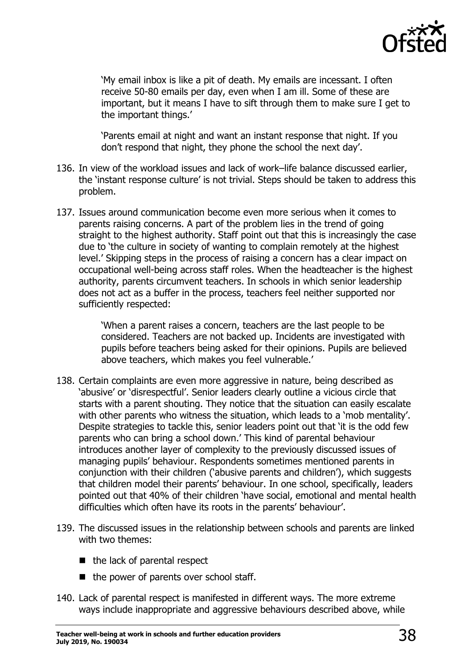

'My email inbox is like a pit of death. My emails are incessant. I often receive 50-80 emails per day, even when I am ill. Some of these are important, but it means I have to sift through them to make sure I get to the important things.'

'Parents email at night and want an instant response that night. If you don't respond that night, they phone the school the next day'.

- 136. In view of the workload issues and lack of work–life balance discussed earlier, the 'instant response culture' is not trivial. Steps should be taken to address this problem.
- 137. Issues around communication become even more serious when it comes to parents raising concerns. A part of the problem lies in the trend of going straight to the highest authority. Staff point out that this is increasingly the case due to 'the culture in society of wanting to complain remotely at the highest level.' Skipping steps in the process of raising a concern has a clear impact on occupational well-being across staff roles. When the headteacher is the highest authority, parents circumvent teachers. In schools in which senior leadership does not act as a buffer in the process, teachers feel neither supported nor sufficiently respected:

'When a parent raises a concern, teachers are the last people to be considered. Teachers are not backed up. Incidents are investigated with pupils before teachers being asked for their opinions. Pupils are believed above teachers, which makes you feel vulnerable.'

- 138. Certain complaints are even more aggressive in nature, being described as 'abusive' or 'disrespectful'. Senior leaders clearly outline a vicious circle that starts with a parent shouting. They notice that the situation can easily escalate with other parents who witness the situation, which leads to a 'mob mentality'. Despite strategies to tackle this, senior leaders point out that 'it is the odd few parents who can bring a school down.' This kind of parental behaviour introduces another layer of complexity to the previously discussed issues of managing pupils' behaviour. Respondents sometimes mentioned parents in conjunction with their children ('abusive parents and children'), which suggests that children model their parents' behaviour. In one school, specifically, leaders pointed out that 40% of their children 'have social, emotional and mental health difficulties which often have its roots in the parents' behaviour'.
- 139. The discussed issues in the relationship between schools and parents are linked with two themes:
	- $\blacksquare$  the lack of parental respect
	- $\blacksquare$  the power of parents over school staff.
- 140. Lack of parental respect is manifested in different ways. The more extreme ways include inappropriate and aggressive behaviours described above, while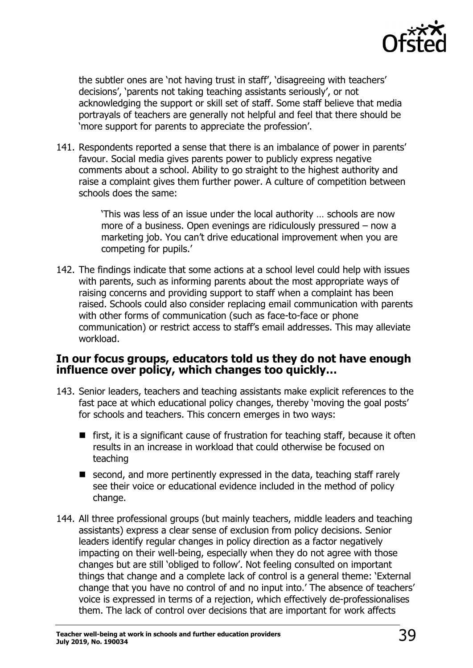

the subtler ones are 'not having trust in staff', 'disagreeing with teachers' decisions', 'parents not taking teaching assistants seriously', or not acknowledging the support or skill set of staff. Some staff believe that media portrayals of teachers are generally not helpful and feel that there should be 'more support for parents to appreciate the profession'.

141. Respondents reported a sense that there is an imbalance of power in parents' favour. Social media gives parents power to publicly express negative comments about a school. Ability to go straight to the highest authority and raise a complaint gives them further power. A culture of competition between schools does the same:

> 'This was less of an issue under the local authority … schools are now more of a business. Open evenings are ridiculously pressured – now a marketing job. You can't drive educational improvement when you are competing for pupils.'

142. The findings indicate that some actions at a school level could help with issues with parents, such as informing parents about the most appropriate ways of raising concerns and providing support to staff when a complaint has been raised. Schools could also consider replacing email communication with parents with other forms of communication (such as face-to-face or phone communication) or restrict access to staff's email addresses. This may alleviate workload.

### <span id="page-38-0"></span>**In our focus groups, educators told us they do not have enough influence over policy, which changes too quickly…**

- 143. Senior leaders, teachers and teaching assistants make explicit references to the fast pace at which educational policy changes, thereby 'moving the goal posts' for schools and teachers. This concern emerges in two ways:
	- $\blacksquare$  first, it is a significant cause of frustration for teaching staff, because it often results in an increase in workload that could otherwise be focused on teaching
	- $\blacksquare$  second, and more pertinently expressed in the data, teaching staff rarely see their voice or educational evidence included in the method of policy change.
- 144. All three professional groups (but mainly teachers, middle leaders and teaching assistants) express a clear sense of exclusion from policy decisions. Senior leaders identify regular changes in policy direction as a factor negatively impacting on their well-being, especially when they do not agree with those changes but are still 'obliged to follow'. Not feeling consulted on important things that change and a complete lack of control is a general theme: 'External change that you have no control of and no input into.' The absence of teachers' voice is expressed in terms of a rejection, which effectively de-professionalises them. The lack of control over decisions that are important for work affects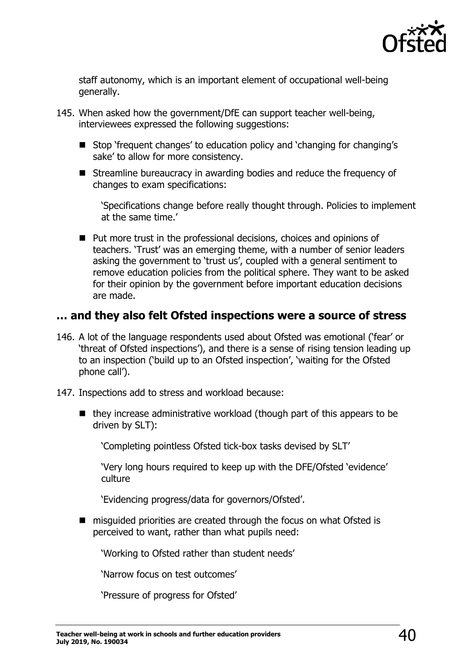

staff autonomy, which is an important element of occupational well-being generally.

- 145. When asked how the government/DfE can support teacher well-being, interviewees expressed the following suggestions:
	- Stop 'frequent changes' to education policy and 'changing for changing's sake' to allow for more consistency.
	- Streamline bureaucracy in awarding bodies and reduce the frequency of changes to exam specifications:

'Specifications change before really thought through. Policies to implement at the same time.'

■ Put more trust in the professional decisions, choices and opinions of teachers. 'Trust' was an emerging theme, with a number of senior leaders asking the government to 'trust us', coupled with a general sentiment to remove education policies from the political sphere. They want to be asked for their opinion by the government before important education decisions are made.

### <span id="page-39-0"></span>**… and they also felt Ofsted inspections were a source of stress**

- 146. A lot of the language respondents used about Ofsted was emotional ('fear' or 'threat of Ofsted inspections'), and there is a sense of rising tension leading up to an inspection ('build up to an Ofsted inspection', 'waiting for the Ofsted phone call').
- 147. Inspections add to stress and workload because:
	- $\blacksquare$  they increase administrative workload (though part of this appears to be driven by SLT):

'Completing pointless Ofsted tick-box tasks devised by SLT'

'Very long hours required to keep up with the DFE/Ofsted 'evidence' culture

'Evidencing progress/data for governors/Ofsted'.

■ misquided priorities are created through the focus on what Ofsted is perceived to want, rather than what pupils need:

'Working to Ofsted rather than student needs'

'Narrow focus on test outcomes'

'Pressure of progress for Ofsted'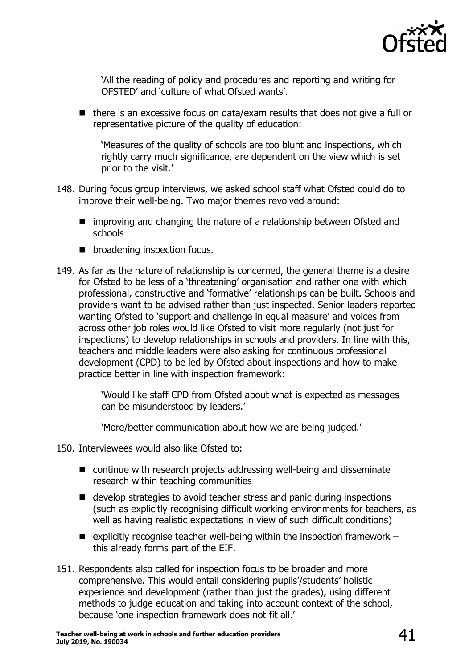

'All the reading of policy and procedures and reporting and writing for OFSTED' and 'culture of what Ofsted wants'.

 $\blacksquare$  there is an excessive focus on data/exam results that does not give a full or representative picture of the quality of education:

'Measures of the quality of schools are too blunt and inspections, which rightly carry much significance, are dependent on the view which is set prior to the visit.'

- 148. During focus group interviews, we asked school staff what Ofsted could do to improve their well-being. Two major themes revolved around:
	- improving and changing the nature of a relationship between Ofsted and schools
	- **broadening inspection focus.**
- 149. As far as the nature of relationship is concerned, the general theme is a desire for Ofsted to be less of a 'threatening' organisation and rather one with which professional, constructive and 'formative' relationships can be built. Schools and providers want to be advised rather than just inspected. Senior leaders reported wanting Ofsted to 'support and challenge in equal measure' and voices from across other job roles would like Ofsted to visit more regularly (not just for inspections) to develop relationships in schools and providers. In line with this, teachers and middle leaders were also asking for continuous professional development (CPD) to be led by Ofsted about inspections and how to make practice better in line with inspection framework:

'Would like staff CPD from Ofsted about what is expected as messages can be misunderstood by leaders.'

'More/better communication about how we are being judged.'

- 150. Interviewees would also like Ofsted to:
	- continue with research projects addressing well-being and disseminate research within teaching communities
	- develop strategies to avoid teacher stress and panic during inspections (such as explicitly recognising difficult working environments for teachers, as well as having realistic expectations in view of such difficult conditions)
	- **E** explicitly recognise teacher well-being within the inspection framework  $$ this already forms part of the EIF.
- 151. Respondents also called for inspection focus to be broader and more comprehensive. This would entail considering pupils'/students' holistic experience and development (rather than just the grades), using different methods to judge education and taking into account context of the school, because 'one inspection framework does not fit all.'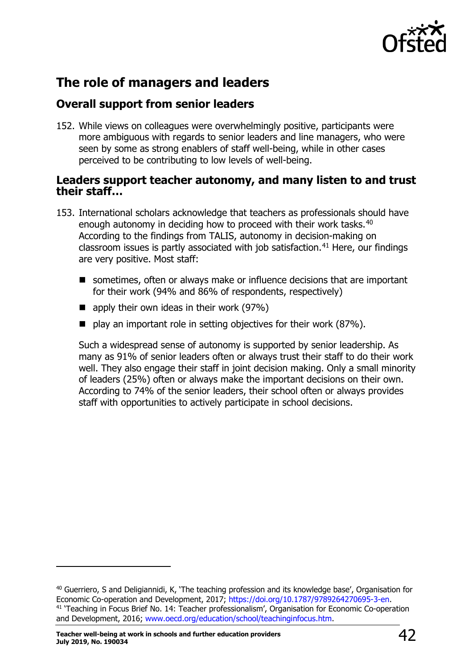

### <span id="page-41-0"></span>**The role of managers and leaders**

### <span id="page-41-1"></span>**Overall support from senior leaders**

152. While views on colleagues were overwhelmingly positive, participants were more ambiguous with regards to senior leaders and line managers, who were seen by some as strong enablers of staff well-being, while in other cases perceived to be contributing to low levels of well-being.

### <span id="page-41-2"></span>**Leaders support teacher autonomy, and many listen to and trust their staff…**

- 153. International scholars acknowledge that teachers as professionals should have enough autonomy in deciding how to proceed with their work tasks.<sup>[40](#page-41-3)</sup> According to the findings from TALIS, autonomy in decision-making on classroom issues is partly associated with job satisfaction.<sup>[41](#page-41-4)</sup> Here, our findings are very positive. Most staff:
	- sometimes, often or always make or influence decisions that are important for their work (94% and 86% of respondents, respectively)
	- $\blacksquare$  apply their own ideas in their work (97%)
	- $\blacksquare$  play an important role in setting objectives for their work (87%).

Such a widespread sense of autonomy is supported by senior leadership. As many as 91% of senior leaders often or always trust their staff to do their work well. They also engage their staff in joint decision making. Only a small minority of leaders (25%) often or always make the important decisions on their own. According to 74% of the senior leaders, their school often or always provides staff with opportunities to actively participate in school decisions.

<span id="page-41-4"></span><span id="page-41-3"></span><sup>&</sup>lt;sup>40</sup> Guerriero, S and Deligiannidi, K, 'The teaching profession and its knowledge base', Organisation for Economic Co-operation and Development, 2017; [https://doi.org/10.1787/9789264270695-3-en.](https://doi.org/10.1787/9789264270695-3-en) <sup>41</sup> 'Teaching in Focus Brief No. 14: Teacher professionalism', Organisation for Economic Co-operation and Development, 2016; [www.oecd.org/education/school/teachinginfocus.htm.](http://www.oecd.org/education/school/teachinginfocus.htm)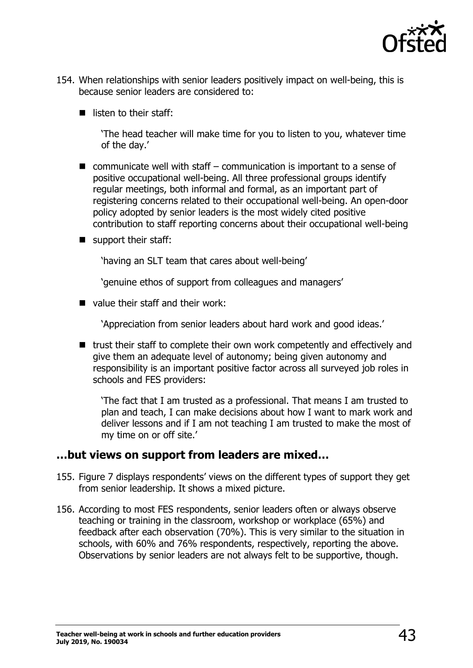

- 154. When relationships with senior leaders positively impact on well-being, this is because senior leaders are considered to:
	- $\blacksquare$  listen to their staff:

'The head teacher will make time for you to listen to you, whatever time of the day.'

- $\blacksquare$  communicate well with staff communication is important to a sense of positive occupational well-being. All three professional groups identify regular meetings, both informal and formal, as an important part of registering concerns related to their occupational well-being. An open-door policy adopted by senior leaders is the most widely cited positive contribution to staff reporting concerns about their occupational well-being
- support their staff:

'having an SLT team that cares about well-being'

'genuine ethos of support from colleagues and managers'

value their staff and their work:

'Appreciation from senior leaders about hard work and good ideas.'

 $\blacksquare$  trust their staff to complete their own work competently and effectively and give them an adequate level of autonomy; being given autonomy and responsibility is an important positive factor across all surveyed job roles in schools and FES providers:

'The fact that I am trusted as a professional. That means I am trusted to plan and teach, I can make decisions about how I want to mark work and deliver lessons and if I am not teaching I am trusted to make the most of my time on or off site.'

### <span id="page-42-0"></span>**…but views on support from leaders are mixed…**

- 155. Figure 7 displays respondents' views on the different types of support they get from senior leadership. It shows a mixed picture.
- 156. According to most FES respondents, senior leaders often or always observe teaching or training in the classroom, workshop or workplace (65%) and feedback after each observation (70%). This is very similar to the situation in schools, with 60% and 76% respondents, respectively, reporting the above. Observations by senior leaders are not always felt to be supportive, though.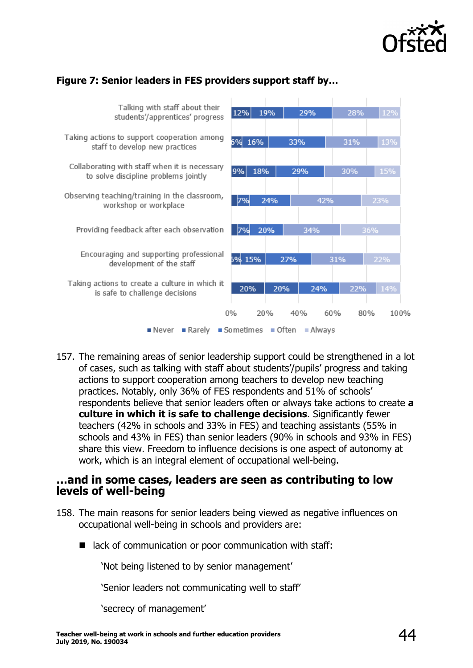

### **Figure 7: Senior leaders in FES providers support staff by…**



157. The remaining areas of senior leadership support could be strengthened in a lot of cases, such as talking with staff about students'/pupils' progress and taking actions to support cooperation among teachers to develop new teaching practices. Notably, only 36% of FES respondents and 51% of schools' respondents believe that senior leaders often or always take actions to create **a culture in which it is safe to challenge decisions**. Significantly fewer teachers (42% in schools and 33% in FES) and teaching assistants (55% in schools and 43% in FES) than senior leaders (90% in schools and 93% in FES) share this view. Freedom to influence decisions is one aspect of autonomy at work, which is an integral element of occupational well-being.

### <span id="page-43-0"></span>**…and in some cases, leaders are seen as contributing to low levels of well-being**

- 158. The main reasons for senior leaders being viewed as negative influences on occupational well-being in schools and providers are:
	- lack of communication or poor communication with staff:

'Not being listened to by senior management'

'Senior leaders not communicating well to staff'

'secrecy of management'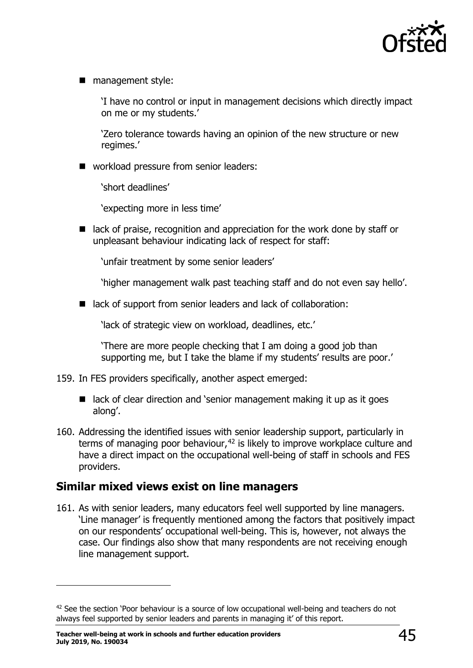

■ management style:

'I have no control or input in management decisions which directly impact on me or my students.'

'Zero tolerance towards having an opinion of the new structure or new regimes.'

■ workload pressure from senior leaders:

'short deadlines'

'expecting more in less time'

 $\blacksquare$  lack of praise, recognition and appreciation for the work done by staff or unpleasant behaviour indicating lack of respect for staff:

'unfair treatment by some senior leaders'

'higher management walk past teaching staff and do not even say hello'.

■ lack of support from senior leaders and lack of collaboration:

'lack of strategic view on workload, deadlines, etc.'

'There are more people checking that I am doing a good job than supporting me, but I take the blame if my students' results are poor.'

- 159. In FES providers specifically, another aspect emerged:
	- $\blacksquare$  lack of clear direction and 'senior management making it up as it goes along'.
- 160. Addressing the identified issues with senior leadership support, particularly in terms of managing poor behaviour,  $42$  is likely to improve workplace culture and have a direct impact on the occupational well-being of staff in schools and FES providers.

### <span id="page-44-0"></span>**Similar mixed views exist on line managers**

161. As with senior leaders, many educators feel well supported by line managers. 'Line manager' is frequently mentioned among the factors that positively impact on our respondents' occupational well-being. This is, however, not always the case. Our findings also show that many respondents are not receiving enough line management support.

<span id="page-44-1"></span><sup>&</sup>lt;sup>42</sup> See the section 'Poor behaviour is a source of low occupational well-being and teachers do not always feel supported by senior leaders and parents in managing it' of this report.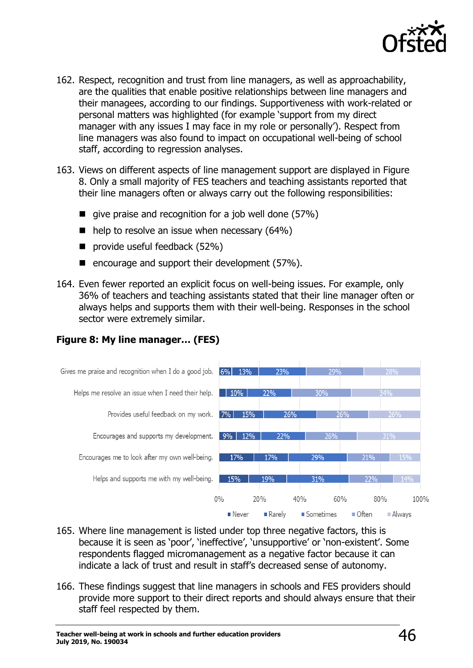

- 162. Respect, recognition and trust from line managers, as well as approachability, are the qualities that enable positive relationships between line managers and their managees, according to our findings. Supportiveness with work-related or personal matters was highlighted (for example 'support from my direct manager with any issues I may face in my role or personally'). Respect from line managers was also found to impact on occupational well-being of school staff, according to regression analyses.
- 163. Views on different aspects of line management support are displayed in Figure 8. Only a small majority of FES teachers and teaching assistants reported that their line managers often or always carry out the following responsibilities:
	- qive praise and recognition for a job well done  $(57%)$
	- $\blacksquare$  help to resolve an issue when necessary (64%)
	- provide useful feedback (52%)
	- $\blacksquare$  encourage and support their development (57%).
- 164. Even fewer reported an explicit focus on well-being issues. For example, only 36% of teachers and teaching assistants stated that their line manager often or always helps and supports them with their well-being. Responses in the school sector were extremely similar.



#### **Figure 8: My line manager… (FES)**

- 165. Where line management is listed under top three negative factors, this is because it is seen as 'poor', 'ineffective', 'unsupportive' or 'non-existent'. Some respondents flagged micromanagement as a negative factor because it can indicate a lack of trust and result in staff's decreased sense of autonomy.
- 166. These findings suggest that line managers in schools and FES providers should provide more support to their direct reports and should always ensure that their staff feel respected by them.